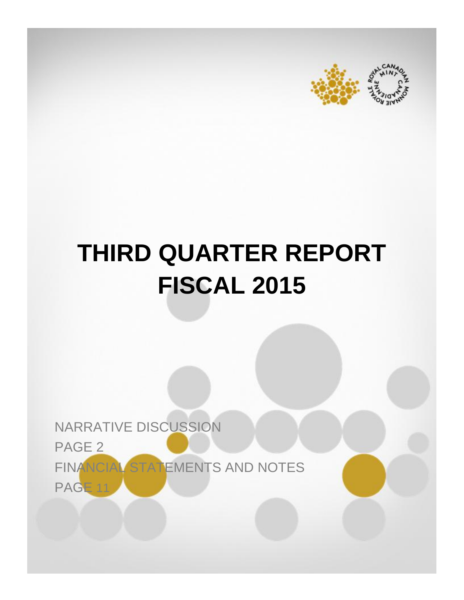



# **THIRD QUARTER REPORT FISCAL 2015**

NARRATIVE DISCUSSION PAGE 2 FINANCIAL STATEMENTS AND NOTES PAGE 11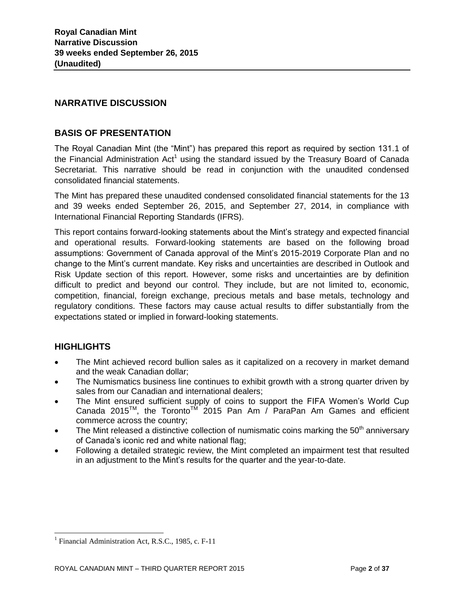# **NARRATIVE DISCUSSION**

# **BASIS OF PRESENTATION**

The Royal Canadian Mint (the "Mint") has prepared this report as required by section 131.1 of the Financial Administration Act<sup>1</sup> using the standard issued by the Treasury Board of Canada Secretariat. This narrative should be read in conjunction with the unaudited condensed consolidated financial statements.

The Mint has prepared these unaudited condensed consolidated financial statements for the 13 and 39 weeks ended September 26, 2015, and September 27, 2014, in compliance with International Financial Reporting Standards (IFRS).

This report contains forward-looking statements about the Mint's strategy and expected financial and operational results. Forward-looking statements are based on the following broad assumptions: Government of Canada approval of the Mint's 2015-2019 Corporate Plan and no change to the Mint's current mandate. Key risks and uncertainties are described in Outlook and Risk Update section of this report. However, some risks and uncertainties are by definition difficult to predict and beyond our control. They include, but are not limited to, economic, competition, financial, foreign exchange, precious metals and base metals, technology and regulatory conditions. These factors may cause actual results to differ substantially from the expectations stated or implied in forward-looking statements.

# **HIGHLIGHTS**

l

- The Mint achieved record bullion sales as it capitalized on a recovery in market demand and the weak Canadian dollar;
- The Numismatics business line continues to exhibit growth with a strong quarter driven by sales from our Canadian and international dealers;
- The Mint ensured sufficient supply of coins to support the FIFA Women's World Cup Canada 2015<sup>TM</sup>, the Toronto<sup>TM</sup> 2015 Pan Am / ParaPan Am Games and efficient commerce across the country;
- The Mint released a distinctive collection of numismatic coins marking the  $50<sup>th</sup>$  anniversary of Canada's iconic red and white national flag;
- Following a detailed strategic review, the Mint completed an impairment test that resulted in an adjustment to the Mint's results for the quarter and the year-to-date.

<sup>&</sup>lt;sup>1</sup> Financial Administration Act, R.S.C., 1985, c. F-11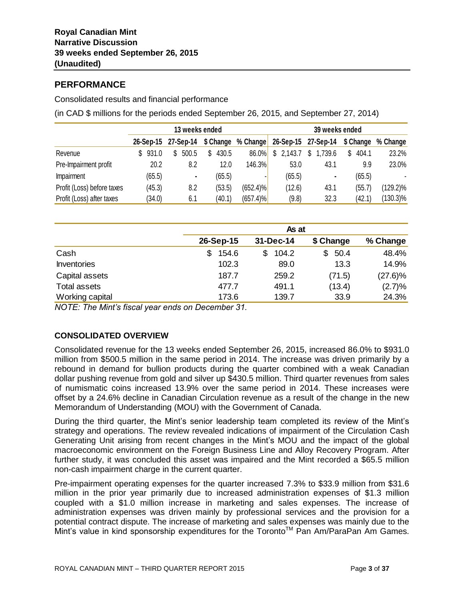# **PERFORMANCE**

Consolidated results and financial performance

(in CAD \$ millions for the periods ended September 26, 2015, and September 27, 2014)

|                            | 13 weeks ended |           |  |           |    | 39 weeks ended |                    |    |                     |    |         |   |           |          |
|----------------------------|----------------|-----------|--|-----------|----|----------------|--------------------|----|---------------------|----|---------|---|-----------|----------|
|                            |                | 26-Sep-15 |  | 27-Sep-14 |    |                | \$ Change % Change |    | 26-Sep-15 27-Sep-14 |    |         |   | \$ Change | % Change |
| Revenue                    |                | 931.0     |  | 500.5     | S. | 430.5          | 86.0%              | \$ | 2,143.7             | S. | 1,739.6 | S | 404.1     | 23.2%    |
| Pre-Impairment profit      |                | 20.2      |  | 8.2       |    | 12.0           | 146.3%             |    | 53.0                |    | 43.1    |   | 9.9       | 23.0%    |
| Impairment                 |                | (65.5)    |  | ۰.        |    | (65.5)         | ٠                  |    | (65.5)              |    | ٠       |   | (65.5)    |          |
| Profit (Loss) before taxes |                | (45.3)    |  | 8.2       |    | (53.5)         | $(652.4)\%$        |    | (12.6)              |    | 43.1    |   | (55.7)    | (129.2)% |
| Profit (Loss) after taxes  |                | (34.0)    |  | 6.1       |    | (40.1)         | $(657.4)\%$        |    | (9.8)               |    | 32.3    |   | (42.1)    | (130.3)% |

|                     |            | As at       |            |            |  |  |  |  |
|---------------------|------------|-------------|------------|------------|--|--|--|--|
|                     | 26-Sep-15  | 31-Dec-14   | \$ Change  | % Change   |  |  |  |  |
| Cash                | 154.6<br>S | 104.2<br>\$ | 50.4<br>\$ | 48.4%      |  |  |  |  |
| <b>Inventories</b>  | 102.3      | 89.0        | 13.3       | 14.9%      |  |  |  |  |
| Capital assets      | 187.7      | 259.2       | (71.5)     | $(27.6)\%$ |  |  |  |  |
| <b>Total assets</b> | 477.7      | 491.1       | (13.4)     | (2.7)%     |  |  |  |  |
| Working capital     | 173.6      | 139.7       | 33.9       | 24.3%      |  |  |  |  |

*NOTE: The Mint's fiscal year ends on December 31.* 

# **CONSOLIDATED OVERVIEW**

Consolidated revenue for the 13 weeks ended September 26, 2015, increased 86.0% to \$931.0 million from \$500.5 million in the same period in 2014. The increase was driven primarily by a rebound in demand for bullion products during the quarter combined with a weak Canadian dollar pushing revenue from gold and silver up \$430.5 million. Third quarter revenues from sales of numismatic coins increased 13.9% over the same period in 2014. These increases were offset by a 24.6% decline in Canadian Circulation revenue as a result of the change in the new Memorandum of Understanding (MOU) with the Government of Canada.

During the third quarter, the Mint's senior leadership team completed its review of the Mint's strategy and operations. The review revealed indications of impairment of the Circulation Cash Generating Unit arising from recent changes in the Mint's MOU and the impact of the global macroeconomic environment on the Foreign Business Line and Alloy Recovery Program. After further study, it was concluded this asset was impaired and the Mint recorded a \$65.5 million non-cash impairment charge in the current quarter.

Pre-impairment operating expenses for the quarter increased 7.3% to \$33.9 million from \$31.6 million in the prior year primarily due to increased administration expenses of \$1.3 million coupled with a \$1.0 million increase in marketing and sales expenses. The increase of administration expenses was driven mainly by professional services and the provision for a potential contract dispute. The increase of marketing and sales expenses was mainly due to the Mint's value in kind sponsorship expenditures for the Toronto™ Pan Am/ParaPan Am Games.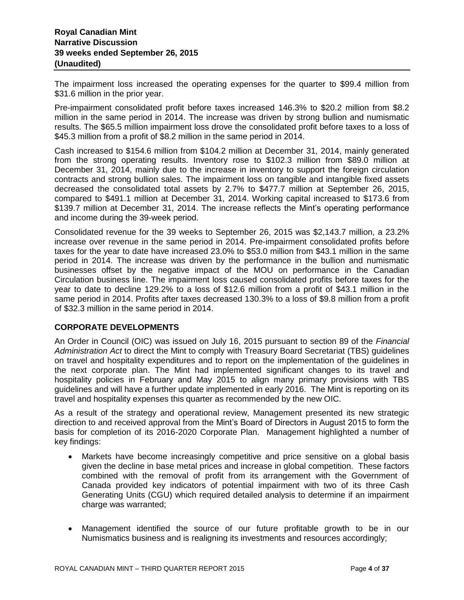The impairment loss increased the operating expenses for the quarter to \$99.4 million from \$31.6 million in the prior year.

Pre-impairment consolidated profit before taxes increased 146.3% to \$20.2 million from \$8.2 million in the same period in 2014. The increase was driven by strong bullion and numismatic results. The \$65.5 million impairment loss drove the consolidated profit before taxes to a loss of \$45.3 million from a profit of \$8.2 million in the same period in 2014.

Cash increased to \$154.6 million from \$104.2 million at December 31, 2014, mainly generated from the strong operating results. Inventory rose to \$102.3 million from \$89.0 million at December 31, 2014, mainly due to the increase in inventory to support the foreign circulation contracts and strong bullion sales. The impairment loss on tangible and intangible fixed assets decreased the consolidated total assets by 2.7% to \$477.7 million at September 26, 2015, compared to \$491.1 million at December 31, 2014. Working capital increased to \$173.6 from \$139.7 million at December 31, 2014. The increase reflects the Mint's operating performance and income during the 39-week period.

Consolidated revenue for the 39 weeks to September 26, 2015 was \$2,143.7 million, a 23.2% increase over revenue in the same period in 2014. Pre-impairment consolidated profits before taxes for the year to date have increased 23.0% to \$53.0 million from \$43.1 million in the same period in 2014. The increase was driven by the performance in the bullion and numismatic businesses offset by the negative impact of the MOU on performance in the Canadian Circulation business line. The impairment loss caused consolidated profits before taxes for the year to date to decline 129.2% to a loss of \$12.6 million from a profit of \$43.1 million in the same period in 2014. Profits after taxes decreased 130.3% to a loss of \$9.8 million from a profit of \$32.3 million in the same period in 2014.

# **CORPORATE DEVELOPMENTS**

An Order in Council (OIC) was issued on July 16, 2015 pursuant to section 89 of the *Financial Administration Act* to direct the Mint to comply with Treasury Board Secretariat (TBS) guidelines on travel and hospitality expenditures and to report on the implementation of the guidelines in the next corporate plan. The Mint had implemented significant changes to its travel and hospitality policies in February and May 2015 to align many primary provisions with TBS guidelines and will have a further update implemented in early 2016. The Mint is reporting on its travel and hospitality expenses this quarter as recommended by the new OIC.

As a result of the strategy and operational review, Management presented its new strategic direction to and received approval from the Mint's Board of Directors in August 2015 to form the basis for completion of its 2016-2020 Corporate Plan. Management highlighted a number of key findings:

- Markets have become increasingly competitive and price sensitive on a global basis given the decline in base metal prices and increase in global competition. These factors combined with the removal of profit from its arrangement with the Government of Canada provided key indicators of potential impairment with two of its three Cash Generating Units (CGU) which required detailed analysis to determine if an impairment charge was warranted;
- Management identified the source of our future profitable growth to be in our Numismatics business and is realigning its investments and resources accordingly;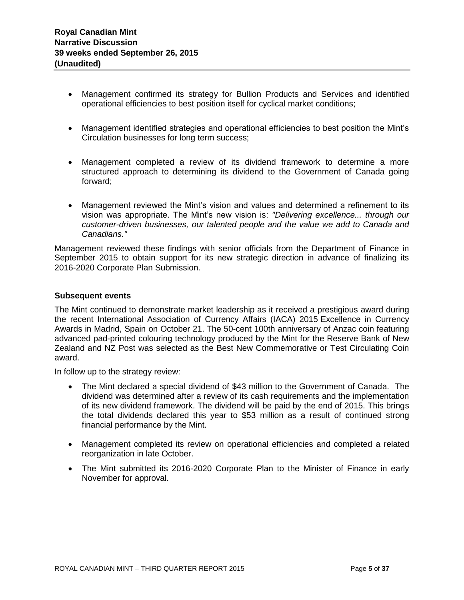- Management confirmed its strategy for Bullion Products and Services and identified operational efficiencies to best position itself for cyclical market conditions;
- Management identified strategies and operational efficiencies to best position the Mint's Circulation businesses for long term success;
- Management completed a review of its dividend framework to determine a more structured approach to determining its dividend to the Government of Canada going forward;
- Management reviewed the Mint's vision and values and determined a refinement to its vision was appropriate. The Mint's new vision is: *"Delivering excellence... through our customer-driven businesses, our talented people and the value we add to Canada and Canadians."*

Management reviewed these findings with senior officials from the Department of Finance in September 2015 to obtain support for its new strategic direction in advance of finalizing its 2016-2020 Corporate Plan Submission.

#### **Subsequent events**

The Mint continued to demonstrate market leadership as it received a prestigious award during the recent International Association of Currency Affairs (IACA) 2015 Excellence in Currency Awards in Madrid, Spain on October 21. The 50-cent 100th anniversary of Anzac coin featuring advanced pad-printed colouring technology produced by the Mint for the Reserve Bank of New Zealand and NZ Post was selected as the Best New Commemorative or Test Circulating Coin award.

In follow up to the strategy review:

- The Mint declared a special dividend of \$43 million to the Government of Canada. The dividend was determined after a review of its cash requirements and the implementation of its new dividend framework. The dividend will be paid by the end of 2015. This brings the total dividends declared this year to \$53 million as a result of continued strong financial performance by the Mint.
- Management completed its review on operational efficiencies and completed a related reorganization in late October.
- The Mint submitted its 2016-2020 Corporate Plan to the Minister of Finance in early November for approval.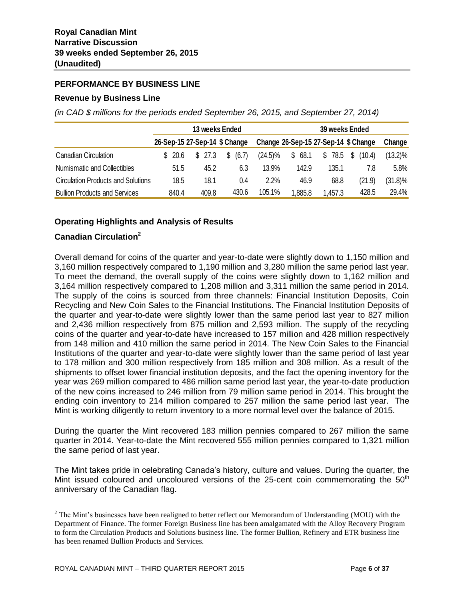# **PERFORMANCE BY BUSINESS LINE**

#### **Revenue by Business Line**

*(in CAD \$ millions for the periods ended September 26, 2015, and September 27, 2014)*

|                                           |                               |         | 13 weeks Ended |            | 39 weeks Ended |                                      |              |            |
|-------------------------------------------|-------------------------------|---------|----------------|------------|----------------|--------------------------------------|--------------|------------|
|                                           | 26-Sep-15 27-Sep-14 \$ Change |         |                |            |                | Change 26-Sep-15 27-Sep-14 \$ Change |              | Change     |
| Canadian Circulation                      | \$20.6                        | \$ 27.3 | \$<br>(6.7)    | $(24.5)\%$ | \$68.1         | \$78.5                               | S.<br>(10.4) | $(13.2)\%$ |
| Numismatic and Collectibles               | 51.5                          | 45.2    | 6.3            | 13.9%      | 142.9          | 135.1                                | 7.8          | 5.8%       |
| <b>Circulation Products and Solutions</b> | 18.5                          | 18.1    | 0.4            | 2.2%       | 46.9           | 68.8                                 | (21.9)       | $(31.8)\%$ |
| <b>Bullion Products and Services</b>      | 840.4                         | 409.8   | 430.6          | 105.1%     | .885.8         | 1,457.3                              | 428.5        | 29.4%      |

# **Operating Highlights and Analysis of Results**

# **Canadian Circulation<sup>2</sup>**

 $\overline{a}$ 

Overall demand for coins of the quarter and year-to-date were slightly down to 1,150 million and 3,160 million respectively compared to 1,190 million and 3,280 million the same period last year. To meet the demand, the overall supply of the coins were slightly down to 1,162 million and 3,164 million respectively compared to 1,208 million and 3,311 million the same period in 2014. The supply of the coins is sourced from three channels: Financial Institution Deposits, Coin Recycling and New Coin Sales to the Financial Institutions. The Financial Institution Deposits of the quarter and year-to-date were slightly lower than the same period last year to 827 million and 2,436 million respectively from 875 million and 2,593 million. The supply of the recycling coins of the quarter and year-to-date have increased to 157 million and 428 million respectively from 148 million and 410 million the same period in 2014. The New Coin Sales to the Financial Institutions of the quarter and year-to-date were slightly lower than the same period of last year to 178 million and 300 million respectively from 185 million and 308 million. As a result of the shipments to offset lower financial institution deposits, and the fact the opening inventory for the year was 269 million compared to 486 million same period last year, the year-to-date production of the new coins increased to 246 million from 79 million same period in 2014. This brought the ending coin inventory to 214 million compared to 257 million the same period last year. The Mint is working diligently to return inventory to a more normal level over the balance of 2015.

During the quarter the Mint recovered 183 million pennies compared to 267 million the same quarter in 2014. Year-to-date the Mint recovered 555 million pennies compared to 1,321 million the same period of last year.

The Mint takes pride in celebrating Canada's history, culture and values. During the quarter, the Mint issued coloured and uncoloured versions of the 25-cent coin commemorating the  $50<sup>th</sup>$ anniversary of the Canadian flag.

<sup>&</sup>lt;sup>2</sup> The Mint's businesses have been realigned to better reflect our Memorandum of Understanding (MOU) with the Department of Finance. The former Foreign Business line has been amalgamated with the Alloy Recovery Program to form the Circulation Products and Solutions business line. The former Bullion, Refinery and ETR business line has been renamed Bullion Products and Services.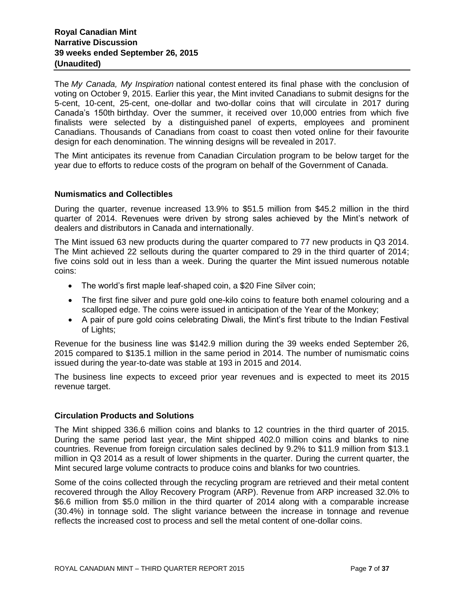The *My Canada, My Inspiration* national contest entered its final phase with the conclusion of voting on October 9, 2015. Earlier this year, the Mint invited Canadians to submit designs for the 5-cent, 10-cent, 25-cent, one-dollar and two-dollar coins that will circulate in 2017 during Canada's 150th birthday. Over the summer, it received over 10,000 entries from which five finalists were selected by a distinguished panel of experts, employees and prominent Canadians. Thousands of Canadians from coast to coast then voted online for their favourite design for each denomination. The winning designs will be revealed in 2017.

The Mint anticipates its revenue from Canadian Circulation program to be below target for the year due to efforts to reduce costs of the program on behalf of the Government of Canada.

#### **Numismatics and Collectibles**

During the quarter, revenue increased 13.9% to \$51.5 million from \$45.2 million in the third quarter of 2014. Revenues were driven by strong sales achieved by the Mint's network of dealers and distributors in Canada and internationally.

The Mint issued 63 new products during the quarter compared to 77 new products in Q3 2014. The Mint achieved 22 sellouts during the quarter compared to 29 in the third quarter of 2014; five coins sold out in less than a week. During the quarter the Mint issued numerous notable coins:

- The world's first maple leaf-shaped coin, a \$20 Fine Silver coin;
- The first fine silver and pure gold one-kilo coins to feature both enamel colouring and a scalloped edge. The coins were issued in anticipation of the Year of the Monkey;
- A pair of pure gold coins celebrating Diwali, the Mint's first tribute to the Indian Festival of Lights;

Revenue for the business line was \$142.9 million during the 39 weeks ended September 26, 2015 compared to \$135.1 million in the same period in 2014. The number of numismatic coins issued during the year-to-date was stable at 193 in 2015 and 2014.

The business line expects to exceed prior year revenues and is expected to meet its 2015 revenue target.

#### **Circulation Products and Solutions**

The Mint shipped 336.6 million coins and blanks to 12 countries in the third quarter of 2015. During the same period last year, the Mint shipped 402.0 million coins and blanks to nine countries. Revenue from foreign circulation sales declined by 9.2% to \$11.9 million from \$13.1 million in Q3 2014 as a result of lower shipments in the quarter. During the current quarter, the Mint secured large volume contracts to produce coins and blanks for two countries.

Some of the coins collected through the recycling program are retrieved and their metal content recovered through the Alloy Recovery Program (ARP). Revenue from ARP increased 32.0% to \$6.6 million from \$5.0 million in the third quarter of 2014 along with a comparable increase (30.4%) in tonnage sold. The slight variance between the increase in tonnage and revenue reflects the increased cost to process and sell the metal content of one-dollar coins.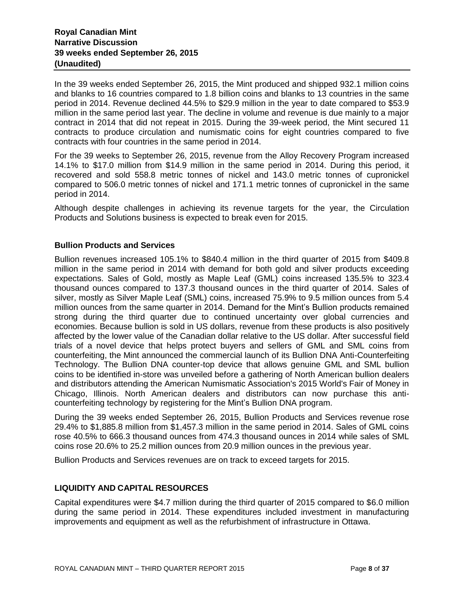In the 39 weeks ended September 26, 2015, the Mint produced and shipped 932.1 million coins and blanks to 16 countries compared to 1.8 billion coins and blanks to 13 countries in the same period in 2014. Revenue declined 44.5% to \$29.9 million in the year to date compared to \$53.9 million in the same period last year. The decline in volume and revenue is due mainly to a major contract in 2014 that did not repeat in 2015. During the 39-week period, the Mint secured 11 contracts to produce circulation and numismatic coins for eight countries compared to five contracts with four countries in the same period in 2014.

For the 39 weeks to September 26, 2015, revenue from the Alloy Recovery Program increased 14.1% to \$17.0 million from \$14.9 million in the same period in 2014. During this period, it recovered and sold 558.8 metric tonnes of nickel and 143.0 metric tonnes of cupronickel compared to 506.0 metric tonnes of nickel and 171.1 metric tonnes of cupronickel in the same period in 2014.

Although despite challenges in achieving its revenue targets for the year, the Circulation Products and Solutions business is expected to break even for 2015.

#### **Bullion Products and Services**

Bullion revenues increased 105.1% to \$840.4 million in the third quarter of 2015 from \$409.8 million in the same period in 2014 with demand for both gold and silver products exceeding expectations. Sales of Gold, mostly as Maple Leaf (GML) coins increased 135.5% to 323.4 thousand ounces compared to 137.3 thousand ounces in the third quarter of 2014. Sales of silver, mostly as Silver Maple Leaf (SML) coins, increased 75.9% to 9.5 million ounces from 5.4 million ounces from the same quarter in 2014. Demand for the Mint's Bullion products remained strong during the third quarter due to continued uncertainty over global currencies and economies. Because bullion is sold in US dollars, revenue from these products is also positively affected by the lower value of the Canadian dollar relative to the US dollar. After successful field trials of a novel device that helps protect buyers and sellers of GML and SML coins from counterfeiting, the Mint announced the commercial launch of its Bullion DNA Anti-Counterfeiting Technology. The Bullion DNA counter-top device that allows genuine GML and SML bullion coins to be identified in-store was unveiled before a gathering of North American bullion dealers and distributors attending the American Numismatic Association's 2015 World's Fair of Money in Chicago, Illinois. North American dealers and distributors can now purchase this anticounterfeiting technology by registering for the Mint's Bullion DNA program.

During the 39 weeks ended September 26, 2015, Bullion Products and Services revenue rose 29.4% to \$1,885.8 million from \$1,457.3 million in the same period in 2014. Sales of GML coins rose 40.5% to 666.3 thousand ounces from 474.3 thousand ounces in 2014 while sales of SML coins rose 20.6% to 25.2 million ounces from 20.9 million ounces in the previous year.

Bullion Products and Services revenues are on track to exceed targets for 2015.

## **LIQUIDITY AND CAPITAL RESOURCES**

Capital expenditures were \$4.7 million during the third quarter of 2015 compared to \$6.0 million during the same period in 2014. These expenditures included investment in manufacturing improvements and equipment as well as the refurbishment of infrastructure in Ottawa.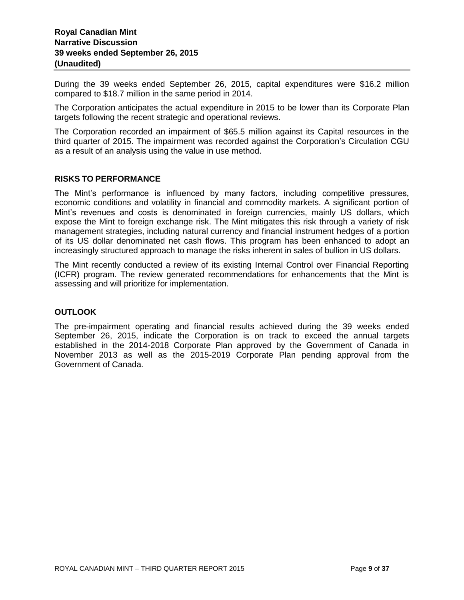During the 39 weeks ended September 26, 2015, capital expenditures were \$16.2 million compared to \$18.7 million in the same period in 2014.

The Corporation anticipates the actual expenditure in 2015 to be lower than its Corporate Plan targets following the recent strategic and operational reviews.

The Corporation recorded an impairment of \$65.5 million against its Capital resources in the third quarter of 2015. The impairment was recorded against the Corporation's Circulation CGU as a result of an analysis using the value in use method.

#### **RISKS TO PERFORMANCE**

The Mint's performance is influenced by many factors, including competitive pressures, economic conditions and volatility in financial and commodity markets. A significant portion of Mint's revenues and costs is denominated in foreign currencies, mainly US dollars, which expose the Mint to foreign exchange risk. The Mint mitigates this risk through a variety of risk management strategies, including natural currency and financial instrument hedges of a portion of its US dollar denominated net cash flows. This program has been enhanced to adopt an increasingly structured approach to manage the risks inherent in sales of bullion in US dollars.

The Mint recently conducted a review of its existing Internal Control over Financial Reporting (ICFR) program. The review generated recommendations for enhancements that the Mint is assessing and will prioritize for implementation.

#### **OUTLOOK**

The pre-impairment operating and financial results achieved during the 39 weeks ended September 26, 2015, indicate the Corporation is on track to exceed the annual targets established in the 2014-2018 Corporate Plan approved by the Government of Canada in November 2013 as well as the 2015-2019 Corporate Plan pending approval from the Government of Canada.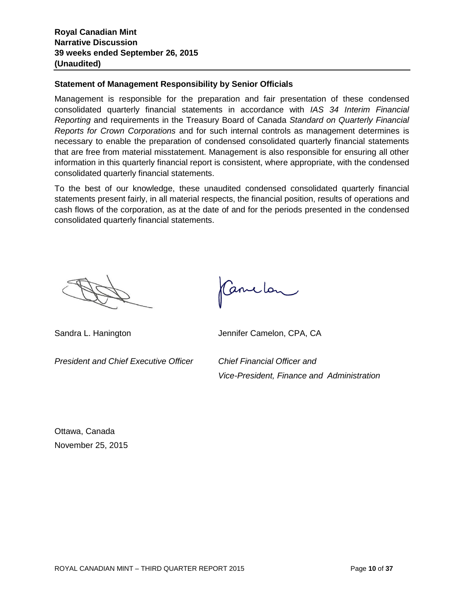## **Statement of Management Responsibility by Senior Officials**

Management is responsible for the preparation and fair presentation of these condensed consolidated quarterly financial statements in accordance with *IAS 34 Interim Financial Reporting* and requirements in the Treasury Board of Canada *Standard on Quarterly Financial Reports for Crown Corporations* and for such internal controls as management determines is necessary to enable the preparation of condensed consolidated quarterly financial statements that are free from material misstatement. Management is also responsible for ensuring all other information in this quarterly financial report is consistent, where appropriate, with the condensed consolidated quarterly financial statements.

To the best of our knowledge, these unaudited condensed consolidated quarterly financial statements present fairly, in all material respects, the financial position, results of operations and cash flows of the corporation, as at the date of and for the periods presented in the condensed consolidated quarterly financial statements.

*President and Chief Executive Officer Chief Financial Officer and*

Canclon

Sandra L. Hanington Jennifer Camelon, CPA, CA

*Vice-President, Finance and Administration*

Ottawa, Canada November 25, 2015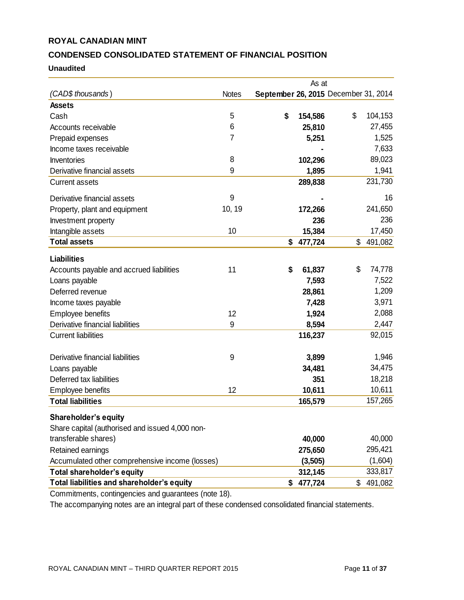# **CONDENSED CONSOLIDATED STATEMENT OF FINANCIAL POSITION**

#### **Unaudited**

|                                                 |              |                                      | As at   |               |
|-------------------------------------------------|--------------|--------------------------------------|---------|---------------|
| (CAD\$ thousands)                               | <b>Notes</b> | September 26, 2015 December 31, 2014 |         |               |
| <b>Assets</b>                                   |              |                                      |         |               |
| Cash                                            | 5            | \$                                   | 154,586 | \$<br>104,153 |
| Accounts receivable                             | 6            |                                      | 25,810  | 27,455        |
| Prepaid expenses                                | 7            |                                      | 5,251   | 1,525         |
| Income taxes receivable                         |              |                                      |         | 7,633         |
| Inventories                                     | 8            |                                      | 102,296 | 89,023        |
| Derivative financial assets                     | 9            |                                      | 1,895   | 1,941         |
| <b>Current assets</b>                           |              |                                      | 289,838 | 231,730       |
| Derivative financial assets                     | 9            |                                      |         | 16            |
| Property, plant and equipment                   | 10, 19       |                                      | 172,266 | 241,650       |
| Investment property                             |              |                                      | 236     | 236           |
| Intangible assets                               | 10           |                                      | 15,384  | 17,450        |
| <b>Total assets</b>                             |              | \$                                   | 477,724 | \$<br>491,082 |
| <b>Liabilities</b>                              |              |                                      |         |               |
| Accounts payable and accrued liabilities        | 11           | \$                                   | 61,837  | \$<br>74,778  |
| Loans payable                                   |              |                                      | 7,593   | 7,522         |
| Deferred revenue                                |              |                                      | 28,861  | 1,209         |
| Income taxes payable                            |              |                                      | 7,428   | 3,971         |
| <b>Employee benefits</b>                        | 12           |                                      | 1,924   | 2,088         |
| Derivative financial liabilities                | 9            |                                      | 8,594   | 2,447         |
| <b>Current liabilities</b>                      |              |                                      | 116,237 | 92,015        |
| Derivative financial liabilities                | 9            |                                      | 3,899   | 1,946         |
| Loans payable                                   |              |                                      | 34,481  | 34,475        |
| Deferred tax liabilities                        |              |                                      | 351     | 18,218        |
| Employee benefits                               | 12           |                                      | 10,611  | 10,611        |
| <b>Total liabilities</b>                        |              |                                      | 165,579 | 157,265       |
| Shareholder's equity                            |              |                                      |         |               |
| Share capital (authorised and issued 4,000 non- |              |                                      |         |               |
| transferable shares)                            |              |                                      | 40,000  | 40,000        |
| Retained earnings                               |              |                                      | 275,650 | 295,421       |
| Accumulated other comprehensive income (losses) |              |                                      | (3,505) | (1,604)       |
| <b>Total shareholder's equity</b>               |              |                                      | 312,145 | 333,817       |
| Total liabilities and shareholder's equity      |              | \$                                   | 477,724 | \$<br>491,082 |
|                                                 |              |                                      |         |               |

Commitments, contingencies and guarantees (note 18).

The accompanying notes are an integral part of these condensed consolidated financial statements.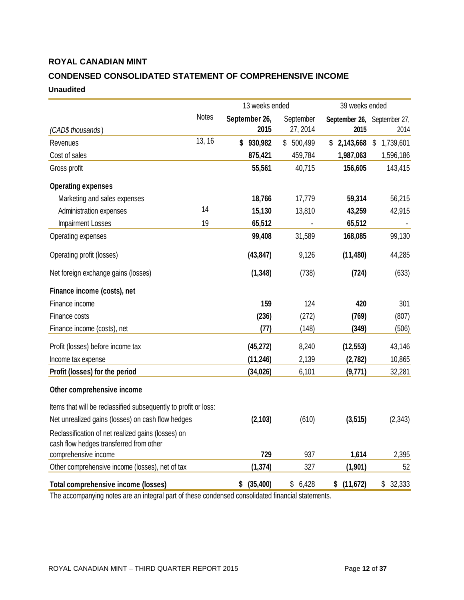# **CONDENSED CONSOLIDATED STATEMENT OF COMPREHENSIVE INCOME Unaudited**

|                                                                                               |              | 13 weeks ended        |                       | 39 weeks ended                      |                            |
|-----------------------------------------------------------------------------------------------|--------------|-----------------------|-----------------------|-------------------------------------|----------------------------|
| (CAD\$ thousands)                                                                             | <b>Notes</b> | September 26,<br>2015 | September<br>27, 2014 | September 26, September 27,<br>2015 | 2014                       |
| Revenues                                                                                      | 13, 16       | \$<br>930,982         | \$500,499             | \$2,143,668                         | $\mathsf{\$}$<br>1,739,601 |
| Cost of sales                                                                                 |              | 875,421               | 459,784               | 1,987,063                           | 1,596,186                  |
| Gross profit                                                                                  |              | 55,561                | 40,715                | 156,605                             | 143,415                    |
| <b>Operating expenses</b>                                                                     |              |                       |                       |                                     |                            |
| Marketing and sales expenses                                                                  |              | 18,766                | 17,779                | 59,314                              | 56,215                     |
| Administration expenses                                                                       | 14           | 15,130                | 13,810                | 43,259                              | 42,915                     |
| Impairment Losses                                                                             | 19           | 65,512                |                       | 65,512                              |                            |
| Operating expenses                                                                            |              | 99,408                | 31,589                | 168,085                             | 99,130                     |
| Operating profit (losses)                                                                     |              | (43, 847)             | 9,126                 | (11, 480)                           | 44,285                     |
| Net foreign exchange gains (losses)                                                           |              | (1, 348)              | (738)                 | (724)                               | (633)                      |
| Finance income (costs), net                                                                   |              |                       |                       |                                     |                            |
| Finance income                                                                                |              | 159                   | 124                   | 420                                 | 301                        |
| Finance costs                                                                                 |              | (236)                 | (272)                 | (769)                               | (807)                      |
| Finance income (costs), net                                                                   |              | (77)                  | (148)                 | (349)                               | (506)                      |
| Profit (losses) before income tax                                                             |              | (45, 272)             | 8,240                 | (12, 553)                           | 43,146                     |
| Income tax expense                                                                            |              | (11, 246)             | 2,139                 | (2,782)                             | 10,865                     |
| Profit (losses) for the period                                                                |              | (34, 026)             | 6,101                 | (9,771)                             | 32,281                     |
| Other comprehensive income                                                                    |              |                       |                       |                                     |                            |
| Items that will be reclassified subsequently to profit or loss:                               |              |                       |                       |                                     |                            |
| Net unrealized gains (losses) on cash flow hedges                                             |              | (2, 103)              | (610)                 | (3, 515)                            | (2, 343)                   |
| Reclassification of net realized gains (losses) on<br>cash flow hedges transferred from other |              |                       |                       |                                     |                            |
| comprehensive income                                                                          |              | 729                   | 937                   | 1,614                               | 2,395                      |
| Other comprehensive income (losses), net of tax                                               |              | (1, 374)              | 327                   | (1, 901)                            | 52                         |
| Total comprehensive income (losses)                                                           |              | \$<br>(35, 400)       | \$<br>6,428           | (11, 672)<br>\$                     | \$<br>32,333               |

The accompanying notes are an integral part of these condensed consolidated financial statements.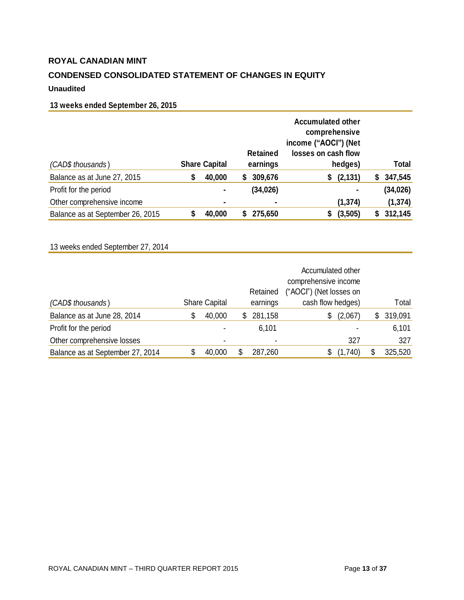# **CONDENSED CONSOLIDATED STATEMENT OF CHANGES IN EQUITY**

# **Unaudited**

# **13 weeks ended September 26, 2015**

|                                  |   |                      |    | <b>Retained</b> | <b>Accumulated other</b><br>comprehensive<br>income ("AOCI") (Net<br>losses on cash flow |   |              |
|----------------------------------|---|----------------------|----|-----------------|------------------------------------------------------------------------------------------|---|--------------|
| (CAD\$ thousands)                |   | <b>Share Capital</b> |    | earnings        | hedges)                                                                                  |   | <b>Total</b> |
| Balance as at June 27, 2015      | S | 40,000               | S. | 309,676         | (2, 131)<br>S                                                                            | 5 | 347,545      |
| Profit for the period            |   | ۰                    |    | (34, 026)       |                                                                                          |   | (34, 026)    |
| Other comprehensive income       |   | ۰                    |    | $\blacksquare$  | (1, 374)                                                                                 |   | (1, 374)     |
| Balance as at September 26, 2015 |   | 40,000               |    | 275,650         | (3,505)<br>S                                                                             | 5 | 312,145      |

# 13 weeks ended September 27, 2014

|                                  |                      |     | Retained       | Accumulated other<br>comprehensive income<br>("AOCI") (Net losses on |    |         |
|----------------------------------|----------------------|-----|----------------|----------------------------------------------------------------------|----|---------|
| (CAD\$ thousands)                | <b>Share Capital</b> |     | earnings       | cash flow hedges)                                                    |    | Total   |
| Balance as at June 28, 2014      | \$<br>40,000         | \$. | 281,158        | (2,067)<br>S                                                         | S  | 319,091 |
| Profit for the period            | -                    |     | 6,101          |                                                                      |    | 6,101   |
| Other comprehensive losses       |                      |     | $\blacksquare$ | 327                                                                  |    | 327     |
| Balance as at September 27, 2014 | 40,000               |     | 287,260        | (1,740)                                                              | \$ | 325,520 |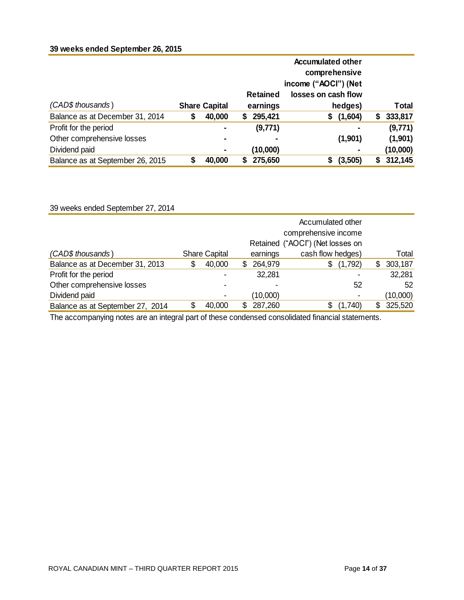# **39 weeks ended September 26, 2015**

|                                  |                      |                 | <b>Accumulated other</b> |    |              |
|----------------------------------|----------------------|-----------------|--------------------------|----|--------------|
|                                  |                      |                 | comprehensive            |    |              |
|                                  |                      |                 | income ("AOCI") (Net     |    |              |
|                                  |                      | <b>Retained</b> | losses on cash flow      |    |              |
| (CAD\$ thousands)                | <b>Share Capital</b> | earnings        | hedges)                  |    | <b>Total</b> |
| Balance as at December 31, 2014  | \$<br>40,000         | 295,421<br>S.   | (1,604)<br>\$            | S. | 333,817      |
| Profit for the period            |                      | (9,771)         |                          |    | (9,771)      |
| Other comprehensive losses       | ٠                    |                 | (1,901)                  |    | (1,901)      |
| Dividend paid                    | ۰                    | (10,000)        |                          |    | (10,000)     |
| Balance as at September 26, 2015 | 40,000               | 275,650         | (3,505)<br>S             | S. | 312,145      |

39 weeks ended September 27, 2014

|   |                          | Accumulated other<br>comprehensive income<br>Retained ("AOCI") (Net losses on |               |  |  |  |
|---|--------------------------|-------------------------------------------------------------------------------|---------------|--|--|--|
|   | earnings                 | cash flow hedges)                                                             | Total         |  |  |  |
| S | 264,979<br>S             | (1,792)<br>\$                                                                 | 303,187<br>\$ |  |  |  |
|   | 32,281                   |                                                                               | 32,281        |  |  |  |
|   | $\overline{\phantom{0}}$ | 52                                                                            | 52            |  |  |  |
| ٠ | (10,000)                 | $\overline{\phantom{0}}$                                                      | (10,000)      |  |  |  |
|   | 287,260                  | (1,740)<br>\$                                                                 | 325,520<br>\$ |  |  |  |
|   |                          | <b>Share Capital</b><br>40,000<br>40,000                                      |               |  |  |  |

The accompanying notes are an integral part of these condensed consolidated financial statements.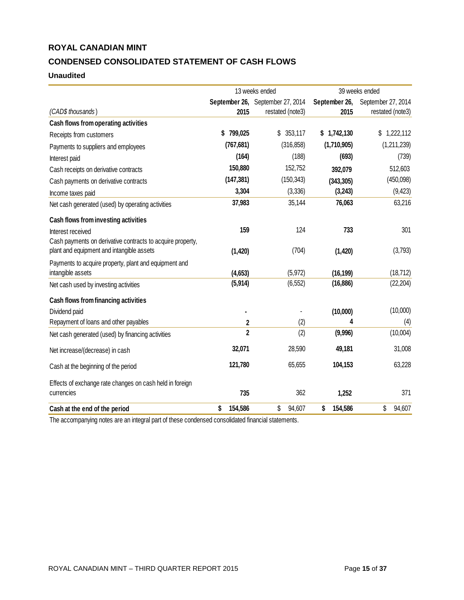# **CONDENSED CONSOLIDATED STATEMENT OF CASH FLOWS**

## **Unaudited**

|                                                            | 13 weeks ended |                                  |               | 39 weeks ended     |
|------------------------------------------------------------|----------------|----------------------------------|---------------|--------------------|
|                                                            |                | September 26, September 27, 2014 | September 26, | September 27, 2014 |
| (CAD\$ thousands)                                          | 2015           | restated (note3)                 | 2015          | restated (note3)   |
| Cash flows from operating activities                       |                |                                  |               |                    |
| Receipts from customers                                    | 799,025<br>\$  | \$353,117                        | \$1,742,130   | \$<br>1,222,112    |
| Payments to suppliers and employees                        | (767, 681)     | (316, 858)                       | (1,710,905)   | (1,211,239)        |
| Interest paid                                              | (164)          | (188)                            | (693)         | (739)              |
| Cash receipts on derivative contracts                      | 150,880        | 152,752                          | 392,079       | 512,603            |
| Cash payments on derivative contracts                      | (147, 381)     | (150, 343)                       | (343, 305)    | (450,098)          |
| Income taxes paid                                          | 3,304          | (3, 336)                         | (3,243)       | (9, 423)           |
| Net cash generated (used) by operating activities          | 37,983         | 35,144                           | 76,063        | 63,216             |
| Cash flows from investing activities                       |                |                                  |               |                    |
| Interest received                                          | 159            | 124                              | 733           | 301                |
| Cash payments on derivative contracts to acquire property, |                |                                  |               |                    |
| plant and equipment and intangible assets                  | (1, 420)       | (704)                            | (1, 420)      | (3,793)            |
| Payments to acquire property, plant and equipment and      |                |                                  |               |                    |
| intangible assets                                          | (4,653)        | (5, 972)                         | (16, 199)     | (18, 712)          |
| Net cash used by investing activities                      | (5,914)        | (6, 552)                         | (16, 886)     | (22, 204)          |
| Cash flows from financing activities                       |                |                                  |               |                    |
| Dividend paid                                              |                |                                  | (10,000)      | (10,000)           |
| Repayment of loans and other payables                      | $\mathbf 2$    | (2)                              | 4             | (4)                |
| Net cash generated (used) by financing activities          | $\overline{2}$ | (2)                              | (9,996)       | (10,004)           |
| Net increase/(decrease) in cash                            | 32,071         | 28,590                           | 49,181        | 31,008             |
| Cash at the beginning of the period                        | 121,780        | 65,655                           | 104,153       | 63,228             |
| Effects of exchange rate changes on cash held in foreign   |                |                                  |               |                    |
| currencies                                                 | 735            | 362                              | 1,252         | 371                |
| Cash at the end of the period                              | \$<br>154,586  | \$<br>94,607                     | 154,586<br>\$ | \$<br>94,607       |

The accompanying notes are an integral part of these condensed consolidated financial statements.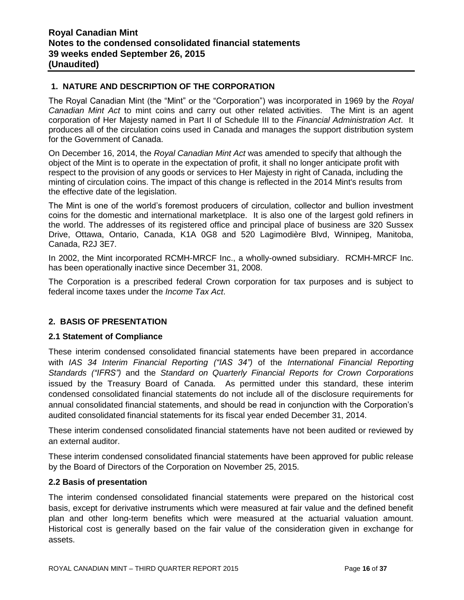# **1. NATURE AND DESCRIPTION OF THE CORPORATION**

The Royal Canadian Mint (the "Mint" or the "Corporation") was incorporated in 1969 by the *Royal Canadian Mint Act* to mint coins and carry out other related activities. The Mint is an agent corporation of Her Majesty named in Part II of Schedule III to the *Financial Administration Act*. It produces all of the circulation coins used in Canada and manages the support distribution system for the Government of Canada.

On December 16, 2014, the *Royal Canadian Mint Act* was amended to specify that although the object of the Mint is to operate in the expectation of profit, it shall no longer anticipate profit with respect to the provision of any goods or services to Her Majesty in right of Canada, including the minting of circulation coins. The impact of this change is reflected in the 2014 Mint's results from the effective date of the legislation.

The Mint is one of the world's foremost producers of circulation, collector and bullion investment coins for the domestic and international marketplace. It is also one of the largest gold refiners in the world. The addresses of its registered office and principal place of business are 320 Sussex Drive, Ottawa, Ontario, Canada, K1A 0G8 and 520 Lagimodière Blvd, Winnipeg, Manitoba, Canada, R2J 3E7.

In 2002, the Mint incorporated RCMH-MRCF Inc., a wholly-owned subsidiary. RCMH-MRCF Inc. has been operationally inactive since December 31, 2008.

The Corporation is a prescribed federal Crown corporation for tax purposes and is subject to federal income taxes under the *Income Tax Act*.

# **2. BASIS OF PRESENTATION**

#### **2.1 Statement of Compliance**

These interim condensed consolidated financial statements have been prepared in accordance with *IAS 34 Interim Financial Reporting ("IAS 34")* of the *International Financial Reporting Standards ("IFRS")* and the *Standard on Quarterly Financial Reports for Crown Corporations* issued by the Treasury Board of Canada. As permitted under this standard, these interim condensed consolidated financial statements do not include all of the disclosure requirements for annual consolidated financial statements, and should be read in conjunction with the Corporation's audited consolidated financial statements for its fiscal year ended December 31, 2014.

These interim condensed consolidated financial statements have not been audited or reviewed by an external auditor.

These interim condensed consolidated financial statements have been approved for public release by the Board of Directors of the Corporation on November 25, 2015.

#### **2.2 Basis of presentation**

The interim condensed consolidated financial statements were prepared on the historical cost basis, except for derivative instruments which were measured at fair value and the defined benefit plan and other long-term benefits which were measured at the actuarial valuation amount. Historical cost is generally based on the fair value of the consideration given in exchange for assets.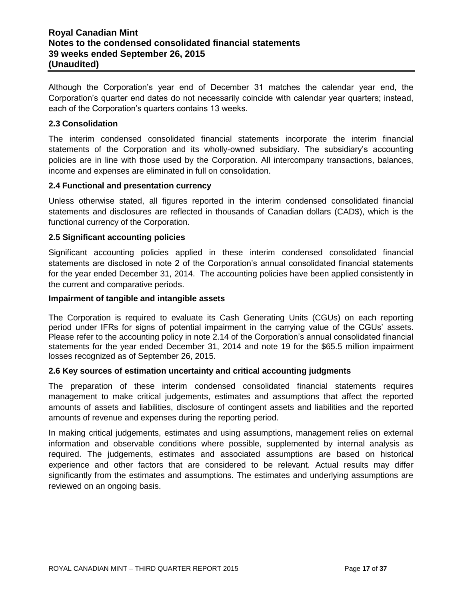# **Royal Canadian Mint Notes to the condensed consolidated financial statements 39 weeks ended September 26, 2015 (Unaudited)**

Although the Corporation's year end of December 31 matches the calendar year end, the Corporation's quarter end dates do not necessarily coincide with calendar year quarters; instead, each of the Corporation's quarters contains 13 weeks.

#### **2.3 Consolidation**

The interim condensed consolidated financial statements incorporate the interim financial statements of the Corporation and its wholly-owned subsidiary. The subsidiary's accounting policies are in line with those used by the Corporation. All intercompany transactions, balances, income and expenses are eliminated in full on consolidation.

#### **2.4 Functional and presentation currency**

Unless otherwise stated, all figures reported in the interim condensed consolidated financial statements and disclosures are reflected in thousands of Canadian dollars (CAD\$), which is the functional currency of the Corporation.

#### **2.5 Significant accounting policies**

Significant accounting policies applied in these interim condensed consolidated financial statements are disclosed in note 2 of the Corporation's annual consolidated financial statements for the year ended December 31, 2014. The accounting policies have been applied consistently in the current and comparative periods.

#### **Impairment of tangible and intangible assets**

The Corporation is required to evaluate its Cash Generating Units (CGUs) on each reporting period under IFRs for signs of potential impairment in the carrying value of the CGUs' assets. Please refer to the accounting policy in note 2.14 of the Corporation's annual consolidated financial statements for the year ended December 31, 2014 and note 19 for the \$65.5 million impairment losses recognized as of September 26, 2015.

#### **2.6 Key sources of estimation uncertainty and critical accounting judgments**

The preparation of these interim condensed consolidated financial statements requires management to make critical judgements, estimates and assumptions that affect the reported amounts of assets and liabilities, disclosure of contingent assets and liabilities and the reported amounts of revenue and expenses during the reporting period.

In making critical judgements, estimates and using assumptions, management relies on external information and observable conditions where possible, supplemented by internal analysis as required. The judgements, estimates and associated assumptions are based on historical experience and other factors that are considered to be relevant. Actual results may differ significantly from the estimates and assumptions. The estimates and underlying assumptions are reviewed on an ongoing basis.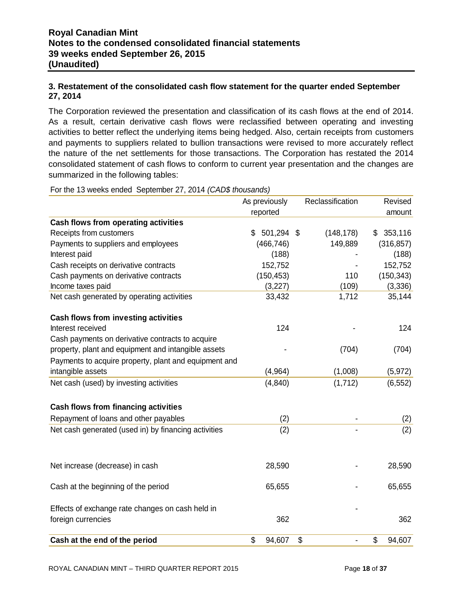# **3. Restatement of the consolidated cash flow statement for the quarter ended September 27, 2014**

The Corporation reviewed the presentation and classification of its cash flows at the end of 2014. As a result, certain derivative cash flows were reclassified between operating and investing activities to better reflect the underlying items being hedged. Also, certain receipts from customers and payments to suppliers related to bullion transactions were revised to more accurately reflect the nature of the net settlements for those transactions. The Corporation has restated the 2014 consolidated statement of cash flows to conform to current year presentation and the changes are summarized in the following tables:

For the 13 weeks ended September 27, 2014 *(CAD\$ thousands)*

|                                                       | As previously | Reclassification | Revised      |
|-------------------------------------------------------|---------------|------------------|--------------|
|                                                       | reported      |                  | amount       |
| Cash flows from operating activities                  |               |                  |              |
| Receipts from customers                               | \$<br>501,294 | (148, 178)<br>\$ | \$353,116    |
| Payments to suppliers and employees                   | (466, 746)    | 149,889          | (316, 857)   |
| Interest paid                                         | (188)         |                  | (188)        |
| Cash receipts on derivative contracts                 | 152,752       |                  | 152,752      |
| Cash payments on derivative contracts                 | (150, 453)    | 110              | (150, 343)   |
| Income taxes paid                                     | (3,227)       | (109)            | (3, 336)     |
| Net cash generated by operating activities            | 33,432        | 1,712            | 35,144       |
| <b>Cash flows from investing activities</b>           |               |                  |              |
| Interest received                                     | 124           |                  | 124          |
| Cash payments on derivative contracts to acquire      |               |                  |              |
| property, plant and equipment and intangible assets   |               | (704)            | (704)        |
| Payments to acquire property, plant and equipment and |               |                  |              |
| intangible assets                                     | (4, 964)      | (1,008)          | (5, 972)     |
| Net cash (used) by investing activities               | (4, 840)      | (1, 712)         | (6, 552)     |
| <b>Cash flows from financing activities</b>           |               |                  |              |
| Repayment of loans and other payables                 | (2)           |                  | (2)          |
| Net cash generated (used in) by financing activities  | (2)           |                  | (2)          |
|                                                       |               |                  |              |
| Net increase (decrease) in cash                       | 28,590        |                  | 28,590       |
| Cash at the beginning of the period                   | 65,655        |                  | 65,655       |
| Effects of exchange rate changes on cash held in      |               |                  |              |
| foreign currencies                                    | 362           |                  | 362          |
| Cash at the end of the period                         | \$<br>94,607  | \$               | \$<br>94,607 |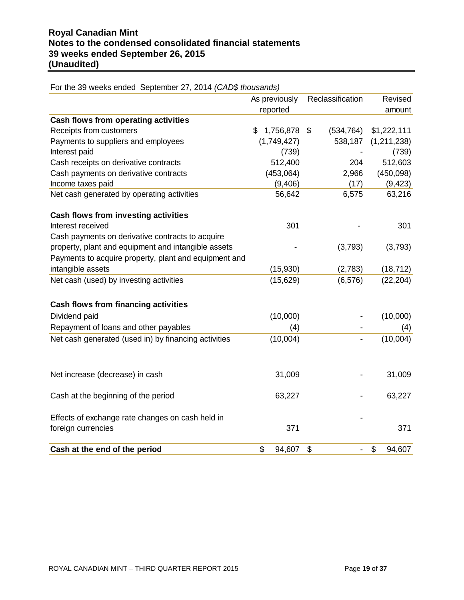|                                                       | As previously<br>reported | Reclassification | Revised<br>amount |
|-------------------------------------------------------|---------------------------|------------------|-------------------|
| Cash flows from operating activities                  |                           |                  |                   |
| Receipts from customers                               | 1,756,878<br>\$           | (534, 764)<br>\$ | \$1,222,111       |
| Payments to suppliers and employees                   | (1,749,427)               | 538,187          | (1,211,238)       |
| Interest paid                                         | (739)                     |                  | (739)             |
| Cash receipts on derivative contracts                 | 512,400                   | 204              | 512,603           |
| Cash payments on derivative contracts                 | (453,064)                 | 2,966            | (450,098)         |
| Income taxes paid                                     | (9,406)                   | (17)             | (9, 423)          |
| Net cash generated by operating activities            | 56,642                    | 6,575            | 63,216            |
| Cash flows from investing activities                  |                           |                  |                   |
| Interest received                                     | 301                       |                  | 301               |
| Cash payments on derivative contracts to acquire      |                           |                  |                   |
| property, plant and equipment and intangible assets   |                           | (3,793)          | (3,793)           |
| Payments to acquire property, plant and equipment and |                           |                  |                   |
| intangible assets                                     | (15,930)                  | (2,783)          | (18, 712)         |
| Net cash (used) by investing activities               | (15, 629)                 | (6, 576)         | (22, 204)         |
| <b>Cash flows from financing activities</b>           |                           |                  |                   |
| Dividend paid                                         | (10,000)                  |                  | (10,000)          |
| Repayment of loans and other payables                 | (4)                       |                  | (4)               |
| Net cash generated (used in) by financing activities  | (10,004)                  |                  | (10,004)          |
| Net increase (decrease) in cash                       | 31,009                    |                  | 31,009            |
| Cash at the beginning of the period                   | 63,227                    |                  | 63,227            |
| Effects of exchange rate changes on cash held in      |                           |                  |                   |
| foreign currencies                                    | 371                       |                  | 371               |
| Cash at the end of the period                         | \$<br>94,607              | \$               | \$<br>94,607      |

For the 39 weeks ended September 27, 2014 *(CAD\$ thousands)*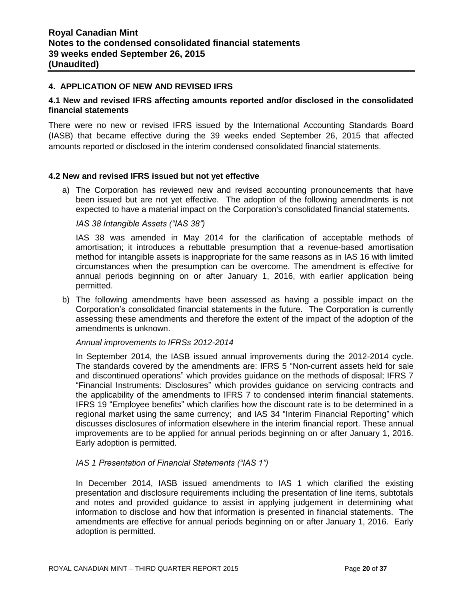#### **4. APPLICATION OF NEW AND REVISED IFRS**

#### **4.1 New and revised IFRS affecting amounts reported and/or disclosed in the consolidated financial statements**

There were no new or revised IFRS issued by the International Accounting Standards Board (IASB) that became effective during the 39 weeks ended September 26, 2015 that affected amounts reported or disclosed in the interim condensed consolidated financial statements.

#### **4.2 New and revised IFRS issued but not yet effective**

a) The Corporation has reviewed new and revised accounting pronouncements that have been issued but are not yet effective. The adoption of the following amendments is not expected to have a material impact on the Corporation's consolidated financial statements.

#### *IAS 38 Intangible Assets ("IAS 38")*

IAS 38 was amended in May 2014 for the clarification of acceptable methods of amortisation; it introduces a rebuttable presumption that a revenue-based amortisation method for intangible assets is inappropriate for the same reasons as in IAS 16 with limited circumstances when the presumption can be overcome. The amendment is effective for annual periods beginning on or after January 1, 2016, with earlier application being permitted.

b) The following amendments have been assessed as having a possible impact on the Corporation's consolidated financial statements in the future. The Corporation is currently assessing these amendments and therefore the extent of the impact of the adoption of the amendments is unknown.

#### *Annual improvements to IFRSs 2012-2014*

In September 2014, the IASB issued annual improvements during the 2012-2014 cycle. The standards covered by the amendments are: IFRS 5 "Non-current assets held for sale and discontinued operations" which provides guidance on the methods of disposal; IFRS 7 "Financial Instruments: Disclosures" which provides guidance on servicing contracts and the applicability of the amendments to IFRS 7 to condensed interim financial statements. IFRS 19 "Employee benefits" which clarifies how the discount rate is to be determined in a regional market using the same currency; and IAS 34 "Interim Financial Reporting" which discusses disclosures of information elsewhere in the interim financial report. These annual improvements are to be applied for annual periods beginning on or after January 1, 2016. Early adoption is permitted.

#### *IAS 1 Presentation of Financial Statements ("IAS 1")*

In December 2014, IASB issued amendments to IAS 1 which clarified the existing presentation and disclosure requirements including the presentation of line items, subtotals and notes and provided guidance to assist in applying judgement in determining what information to disclose and how that information is presented in financial statements. The amendments are effective for annual periods beginning on or after January 1, 2016. Early adoption is permitted.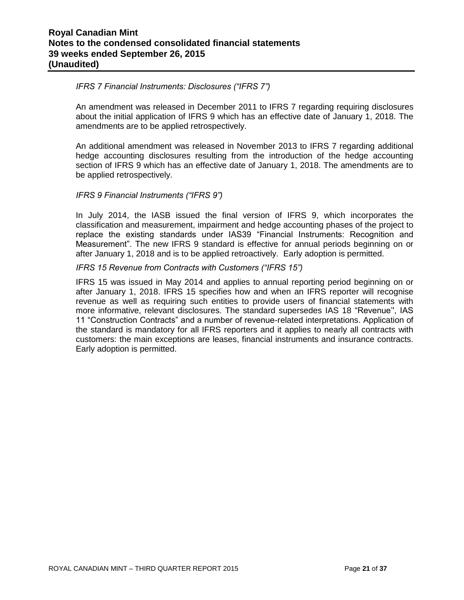#### *IFRS 7 Financial Instruments: Disclosures ("IFRS 7")*

An amendment was released in December 2011 to IFRS 7 regarding requiring disclosures about the initial application of IFRS 9 which has an effective date of January 1, 2018. The amendments are to be applied retrospectively.

An additional amendment was released in November 2013 to IFRS 7 regarding additional hedge accounting disclosures resulting from the introduction of the hedge accounting section of IFRS 9 which has an effective date of January 1, 2018. The amendments are to be applied retrospectively.

#### *IFRS 9 Financial Instruments ("IFRS 9")*

In July 2014, the IASB issued the final version of IFRS 9, which incorporates the classification and measurement, impairment and hedge accounting phases of the project to replace the existing standards under IAS39 "Financial Instruments: Recognition and Measurement". The new IFRS 9 standard is effective for annual periods beginning on or after January 1, 2018 and is to be applied retroactively. Early adoption is permitted.

#### *IFRS 15 Revenue from Contracts with Customers ("IFRS 15")*

IFRS 15 was issued in May 2014 and applies to annual reporting period beginning on or after January 1, 2018. IFRS 15 specifies how and when an IFRS reporter will recognise revenue as well as requiring such entities to provide users of financial statements with more informative, relevant disclosures. The standard supersedes IAS 18 "Revenue'', IAS 11 "Construction Contracts" and a number of revenue-related interpretations. Application of the standard is mandatory for all IFRS reporters and it applies to nearly all contracts with customers: the main exceptions are leases, financial instruments and insurance contracts. Early adoption is permitted.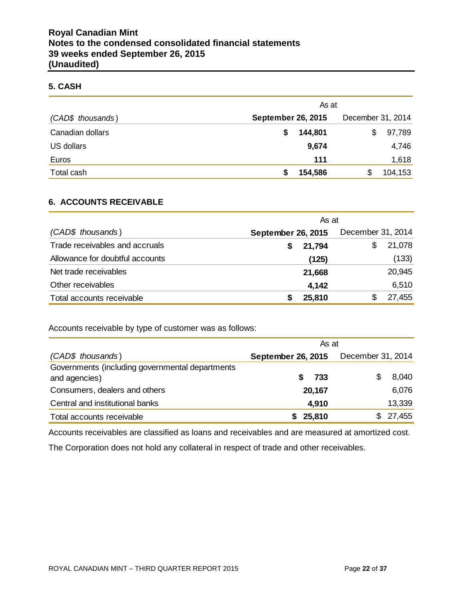## **5. CASH**

|                   | As at                     |         |     |                   |         |
|-------------------|---------------------------|---------|-----|-------------------|---------|
| (CAD\$ thousands) | <b>September 26, 2015</b> |         |     | December 31, 2014 |         |
| Canadian dollars  | S                         | 144,801 |     | \$                | 97,789  |
| US dollars        |                           | 9,674   |     |                   | 4,746   |
| Euros             |                           |         | 111 |                   | 1,618   |
| Total cash        | S                         | 154,586 |     |                   | 104,153 |

# **6. ACCOUNTS RECEIVABLE**

|                                 | As at                     |                   |
|---------------------------------|---------------------------|-------------------|
| (CAD\$ thousands)               | <b>September 26, 2015</b> | December 31, 2014 |
| Trade receivables and accruals  | 21,794                    | 21,078<br>\$      |
| Allowance for doubtful accounts | (125)                     | (133)             |
| Net trade receivables           | 21,668                    | 20,945            |
| Other receivables               | 4,142                     | 6,510             |
| Total accounts receivable       | 25,810                    | 27,455            |

Accounts receivable by type of customer was as follows:

|                                                                  | As at                     |                   |  |  |  |
|------------------------------------------------------------------|---------------------------|-------------------|--|--|--|
| (CAD\$ thousands)                                                | <b>September 26, 2015</b> | December 31, 2014 |  |  |  |
| Governments (including governmental departments<br>and agencies) | 733                       | 8,040             |  |  |  |
| Consumers, dealers and others                                    | 20,167                    | 6,076             |  |  |  |
| Central and institutional banks                                  | 4,910                     | 13,339            |  |  |  |
| Total accounts receivable                                        | 25,810                    | 27,455<br>\$      |  |  |  |

Accounts receivables are classified as loans and receivables and are measured at amortized cost.

The Corporation does not hold any collateral in respect of trade and other receivables.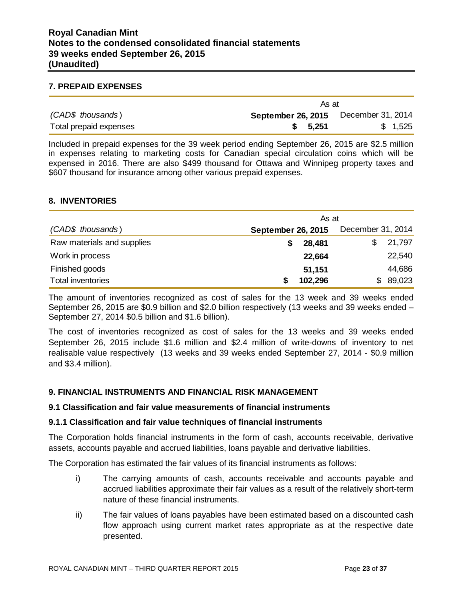# **Royal Canadian Mint Notes to the condensed consolidated financial statements 39 weeks ended September 26, 2015 (Unaudited)**

#### **7. PREPAID EXPENSES**

|                        | As at                                       |         |
|------------------------|---------------------------------------------|---------|
| (CAD\$ thousands)      | <b>September 26, 2015</b> December 31, 2014 |         |
| Total prepaid expenses | 5.251                                       | \$1,525 |

Included in prepaid expenses for the 39 week period ending September 26, 2015 are \$2.5 million in expenses relating to marketing costs for Canadian special circulation coins which will be expensed in 2016. There are also \$499 thousand for Ottawa and Winnipeg property taxes and \$607 thousand for insurance among other various prepaid expenses.

#### **8. INVENTORIES**

|                            | As at              |                   |  |  |  |
|----------------------------|--------------------|-------------------|--|--|--|
| (CAD\$ thousands)          | September 26, 2015 | December 31, 2014 |  |  |  |
| Raw materials and supplies | 28,481             | 21,797            |  |  |  |
| Work in process            | 22,664             | 22,540            |  |  |  |
| Finished goods             | 51,151             | 44,686            |  |  |  |
| <b>Total inventories</b>   | 102,296<br>S       | 89,023<br>S.      |  |  |  |

The amount of inventories recognized as cost of sales for the 13 week and 39 weeks ended September 26, 2015 are \$0.9 billion and \$2.0 billion respectively (13 weeks and 39 weeks ended – September 27, 2014 \$0.5 billion and \$1.6 billion).

The cost of inventories recognized as cost of sales for the 13 weeks and 39 weeks ended September 26, 2015 include \$1.6 million and \$2.4 million of write-downs of inventory to net realisable value respectively (13 weeks and 39 weeks ended September 27, 2014 - \$0.9 million and \$3.4 million).

# **9. FINANCIAL INSTRUMENTS AND FINANCIAL RISK MANAGEMENT**

#### **9.1 Classification and fair value measurements of financial instruments**

#### **9.1.1 Classification and fair value techniques of financial instruments**

The Corporation holds financial instruments in the form of cash, accounts receivable, derivative assets, accounts payable and accrued liabilities, loans payable and derivative liabilities.

The Corporation has estimated the fair values of its financial instruments as follows:

- i) The carrying amounts of cash, accounts receivable and accounts payable and accrued liabilities approximate their fair values as a result of the relatively short-term nature of these financial instruments.
- ii) The fair values of loans payables have been estimated based on a discounted cash flow approach using current market rates appropriate as at the respective date presented.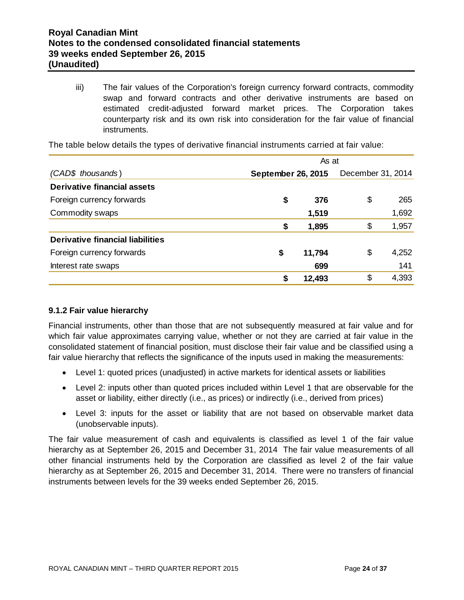iii) The fair values of the Corporation's foreign currency forward contracts, commodity swap and forward contracts and other derivative instruments are based on estimated credit-adjusted forward market prices. The Corporation takes counterparty risk and its own risk into consideration for the fair value of financial instruments.

|                                  | As at |                           |    |       |  |  |  |
|----------------------------------|-------|---------------------------|----|-------|--|--|--|
| (CAD\$ thousands)                |       | <b>September 26, 2015</b> |    |       |  |  |  |
| Derivative financial assets      |       |                           |    |       |  |  |  |
| Foreign currency forwards        | \$    | 376                       | \$ | 265   |  |  |  |
| Commodity swaps                  |       | 1,519                     |    | 1,692 |  |  |  |
|                                  | \$    | 1,895                     | \$ | 1,957 |  |  |  |
| Derivative financial liabilities |       |                           |    |       |  |  |  |
| Foreign currency forwards        | \$    | 11,794                    | \$ | 4,252 |  |  |  |
| Interest rate swaps              |       | 699                       |    | 141   |  |  |  |
|                                  | \$    | 12,493                    | \$ | 4,393 |  |  |  |

The table below details the types of derivative financial instruments carried at fair value:

# **9.1.2 Fair value hierarchy**

Financial instruments, other than those that are not subsequently measured at fair value and for which fair value approximates carrying value, whether or not they are carried at fair value in the consolidated statement of financial position, must disclose their fair value and be classified using a fair value hierarchy that reflects the significance of the inputs used in making the measurements:

- Level 1: quoted prices (unadjusted) in active markets for identical assets or liabilities
- Level 2: inputs other than quoted prices included within Level 1 that are observable for the asset or liability, either directly (i.e., as prices) or indirectly (i.e., derived from prices)
- Level 3: inputs for the asset or liability that are not based on observable market data (unobservable inputs).

The fair value measurement of cash and equivalents is classified as level 1 of the fair value hierarchy as at September 26, 2015 and December 31, 2014 The fair value measurements of all other financial instruments held by the Corporation are classified as level 2 of the fair value hierarchy as at September 26, 2015 and December 31, 2014. There were no transfers of financial instruments between levels for the 39 weeks ended September 26, 2015.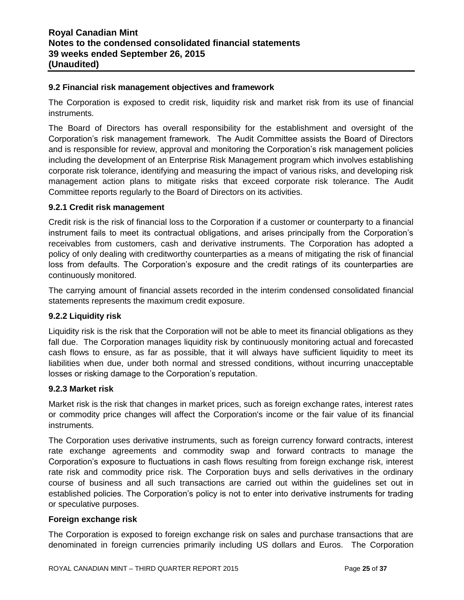#### **9.2 Financial risk management objectives and framework**

The Corporation is exposed to credit risk, liquidity risk and market risk from its use of financial instruments.

The Board of Directors has overall responsibility for the establishment and oversight of the Corporation's risk management framework. The Audit Committee assists the Board of Directors and is responsible for review, approval and monitoring the Corporation's risk management policies including the development of an Enterprise Risk Management program which involves establishing corporate risk tolerance, identifying and measuring the impact of various risks, and developing risk management action plans to mitigate risks that exceed corporate risk tolerance. The Audit Committee reports regularly to the Board of Directors on its activities.

#### **9.2.1 Credit risk management**

Credit risk is the risk of financial loss to the Corporation if a customer or counterparty to a financial instrument fails to meet its contractual obligations, and arises principally from the Corporation's receivables from customers, cash and derivative instruments. The Corporation has adopted a policy of only dealing with creditworthy counterparties as a means of mitigating the risk of financial loss from defaults. The Corporation's exposure and the credit ratings of its counterparties are continuously monitored.

The carrying amount of financial assets recorded in the interim condensed consolidated financial statements represents the maximum credit exposure.

# **9.2.2 Liquidity risk**

Liquidity risk is the risk that the Corporation will not be able to meet its financial obligations as they fall due. The Corporation manages liquidity risk by continuously monitoring actual and forecasted cash flows to ensure, as far as possible, that it will always have sufficient liquidity to meet its liabilities when due, under both normal and stressed conditions, without incurring unacceptable losses or risking damage to the Corporation's reputation.

#### **9.2.3 Market risk**

Market risk is the risk that changes in market prices, such as foreign exchange rates, interest rates or commodity price changes will affect the Corporation's income or the fair value of its financial instruments.

The Corporation uses derivative instruments, such as foreign currency forward contracts, interest rate exchange agreements and commodity swap and forward contracts to manage the Corporation's exposure to fluctuations in cash flows resulting from foreign exchange risk, interest rate risk and commodity price risk. The Corporation buys and sells derivatives in the ordinary course of business and all such transactions are carried out within the guidelines set out in established policies. The Corporation's policy is not to enter into derivative instruments for trading or speculative purposes.

#### **Foreign exchange risk**

The Corporation is exposed to foreign exchange risk on sales and purchase transactions that are denominated in foreign currencies primarily including US dollars and Euros. The Corporation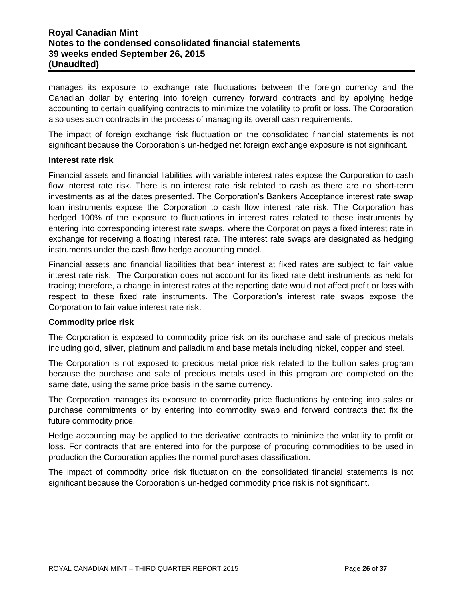# **Royal Canadian Mint Notes to the condensed consolidated financial statements 39 weeks ended September 26, 2015 (Unaudited)**

manages its exposure to exchange rate fluctuations between the foreign currency and the Canadian dollar by entering into foreign currency forward contracts and by applying hedge accounting to certain qualifying contracts to minimize the volatility to profit or loss. The Corporation also uses such contracts in the process of managing its overall cash requirements.

The impact of foreign exchange risk fluctuation on the consolidated financial statements is not significant because the Corporation's un-hedged net foreign exchange exposure is not significant.

#### **Interest rate risk**

Financial assets and financial liabilities with variable interest rates expose the Corporation to cash flow interest rate risk. There is no interest rate risk related to cash as there are no short-term investments as at the dates presented. The Corporation's Bankers Acceptance interest rate swap loan instruments expose the Corporation to cash flow interest rate risk. The Corporation has hedged 100% of the exposure to fluctuations in interest rates related to these instruments by entering into corresponding interest rate swaps, where the Corporation pays a fixed interest rate in exchange for receiving a floating interest rate. The interest rate swaps are designated as hedging instruments under the cash flow hedge accounting model.

Financial assets and financial liabilities that bear interest at fixed rates are subject to fair value interest rate risk. The Corporation does not account for its fixed rate debt instruments as held for trading; therefore, a change in interest rates at the reporting date would not affect profit or loss with respect to these fixed rate instruments. The Corporation's interest rate swaps expose the Corporation to fair value interest rate risk.

#### **Commodity price risk**

The Corporation is exposed to commodity price risk on its purchase and sale of precious metals including gold, silver, platinum and palladium and base metals including nickel, copper and steel.

The Corporation is not exposed to precious metal price risk related to the bullion sales program because the purchase and sale of precious metals used in this program are completed on the same date, using the same price basis in the same currency.

The Corporation manages its exposure to commodity price fluctuations by entering into sales or purchase commitments or by entering into commodity swap and forward contracts that fix the future commodity price.

Hedge accounting may be applied to the derivative contracts to minimize the volatility to profit or loss. For contracts that are entered into for the purpose of procuring commodities to be used in production the Corporation applies the normal purchases classification.

The impact of commodity price risk fluctuation on the consolidated financial statements is not significant because the Corporation's un-hedged commodity price risk is not significant.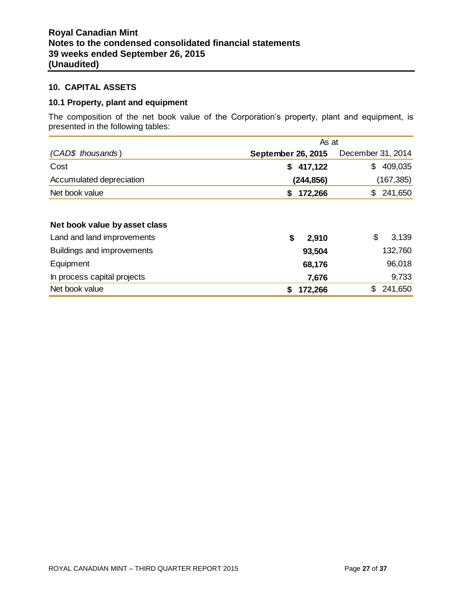#### **10. CAPITAL ASSETS**

# **10.1 Property, plant and equipment**

The composition of the net book value of the Corporation's property, plant and equipment, is presented in the following tables:

|                               | As at                     |                   |  |  |  |
|-------------------------------|---------------------------|-------------------|--|--|--|
| (CAD\$ thousands)             | <b>September 26, 2015</b> | December 31, 2014 |  |  |  |
| Cost                          | 417,122<br>\$             | 409,035<br>\$     |  |  |  |
| Accumulated depreciation      | (244, 856)                | (167, 385)        |  |  |  |
| Net book value                | 172,266<br>\$             | 241,650<br>\$.    |  |  |  |
| Net book value by asset class |                           |                   |  |  |  |
| Land and land improvements    | \$<br>2,910               | \$<br>3,139       |  |  |  |
| Buildings and improvements    | 93,504                    | 132,760           |  |  |  |
| Equipment                     | 68,176                    | 96,018            |  |  |  |
| In process capital projects   | 7,676                     | 9,733             |  |  |  |
| Net book value                | 172,266<br>\$             | \$<br>241,650     |  |  |  |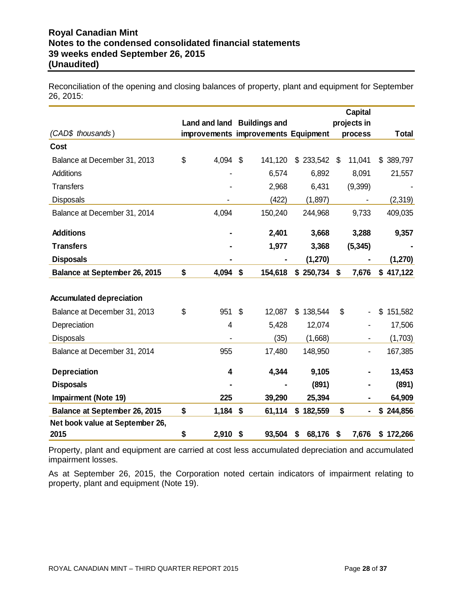Reconciliation of the opening and closing balances of property, plant and equipment for September 26, 2015:

|                                      |                |                                     |              | <b>Capital</b> |               |
|--------------------------------------|----------------|-------------------------------------|--------------|----------------|---------------|
|                                      |                | Land and land Buildings and         |              | projects in    |               |
| (CAD\$ thousands)                    |                | improvements improvements Equipment |              | process        | <b>Total</b>  |
| Cost                                 |                |                                     |              |                |               |
| Balance at December 31, 2013         | \$<br>4,094    | \$<br>141,120                       | \$233,542    | \$<br>11,041   | \$389,797     |
| Additions                            |                | 6,574                               | 6,892        | 8,091          | 21,557        |
| <b>Transfers</b>                     |                | 2,968                               | 6,431        | (9,399)        |               |
| <b>Disposals</b>                     |                | (422)                               | (1,897)      |                | (2,319)       |
| Balance at December 31, 2014         | 4,094          | 150,240                             | 244,968      | 9,733          | 409,035       |
| <b>Additions</b>                     |                | 2,401                               | 3,668        | 3,288          | 9,357         |
| <b>Transfers</b>                     |                | 1,977                               | 3,368        | (5, 345)       |               |
| <b>Disposals</b>                     |                |                                     | (1,270)      |                | (1, 270)      |
| <b>Balance at September 26, 2015</b> | \$<br>4,094    | \$<br>154,618                       | \$250,734    | \$<br>7,676    | \$417,122     |
|                                      |                |                                     |              |                |               |
| <b>Accumulated depreciation</b>      |                |                                     |              |                |               |
| Balance at December 31, 2013         | \$<br>951      | \$<br>12,087                        | \$138,544    | \$             | \$<br>151,582 |
| Depreciation                         | $\overline{4}$ | 5,428                               | 12,074       |                | 17,506        |
| <b>Disposals</b>                     |                | (35)                                | (1,668)      |                | (1,703)       |
| Balance at December 31, 2014         | 955            | 17,480                              | 148,950      |                | 167,385       |
|                                      |                |                                     |              |                |               |
| <b>Depreciation</b>                  | 4              | 4,344                               | 9,105        |                | 13,453        |
| <b>Disposals</b>                     |                |                                     | (891)        |                | (891)         |
| <b>Impairment (Note 19)</b>          | 225            | 39,290                              | 25,394       |                | 64,909        |
| <b>Balance at September 26, 2015</b> | \$<br>1,184    | \$<br>61,114                        | \$182,559    | \$             | \$244,856     |
| Net book value at September 26,      |                |                                     |              |                |               |
| 2015                                 | \$<br>2,910    | \$<br>93,504                        | \$<br>68,176 | \$<br>7,676    | \$172,266     |

Property, plant and equipment are carried at cost less accumulated depreciation and accumulated impairment losses.

As at September 26, 2015, the Corporation noted certain indicators of impairment relating to property, plant and equipment (Note 19).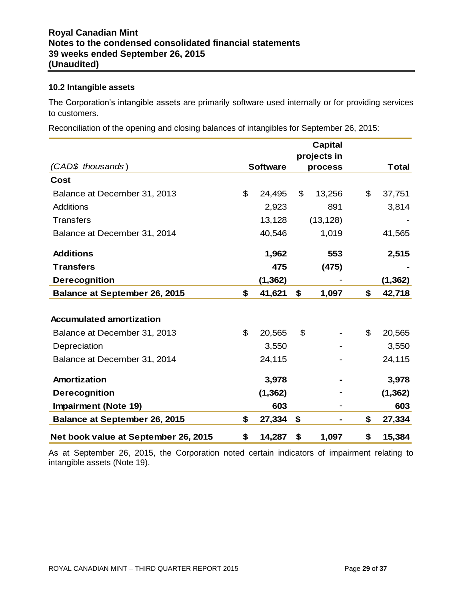#### **10.2 Intangible assets**

The Corporation's intangible assets are primarily software used internally or for providing services to customers.

Reconciliation of the opening and closing balances of intangibles for September 26, 2015:

|                                      |                 | <b>Capital</b> |                |          |
|--------------------------------------|-----------------|----------------|----------------|----------|
|                                      |                 | projects in    |                |          |
| (CAD\$ thousands)                    | <b>Software</b> | process        |                | Total    |
| Cost                                 |                 |                |                |          |
| Balance at December 31, 2013         | \$<br>24,495    | \$<br>13,256   | $\mathfrak{P}$ | 37,751   |
| <b>Additions</b>                     | 2,923           | 891            |                | 3,814    |
| <b>Transfers</b>                     | 13,128          | (13, 128)      |                |          |
| Balance at December 31, 2014         | 40,546          | 1,019          |                | 41,565   |
| <b>Additions</b>                     | 1,962           | 553            |                | 2,515    |
| <b>Transfers</b>                     | 475             | (475)          |                |          |
| <b>Derecognition</b>                 | (1, 362)        |                |                | (1, 362) |
| <b>Balance at September 26, 2015</b> | \$<br>41,621    | \$<br>1,097    | \$             | 42,718   |
|                                      |                 |                |                |          |
| <b>Accumulated amortization</b>      |                 |                |                |          |
| Balance at December 31, 2013         | \$<br>20,565    | \$             | \$             | 20,565   |
| Depreciation                         | 3,550           |                |                | 3,550    |
| Balance at December 31, 2014         | 24,115          |                |                | 24,115   |
| Amortization                         | 3,978           |                |                | 3,978    |
| <b>Derecognition</b>                 | (1, 362)        |                |                | (1, 362) |
| <b>Impairment (Note 19)</b>          | 603             |                |                | 603      |
| <b>Balance at September 26, 2015</b> | \$<br>27,334    | \$             | \$             | 27,334   |
| Net book value at September 26, 2015 | \$<br>14,287    | \$<br>1,097    | \$             | 15,384   |

As at September 26, 2015, the Corporation noted certain indicators of impairment relating to intangible assets (Note 19).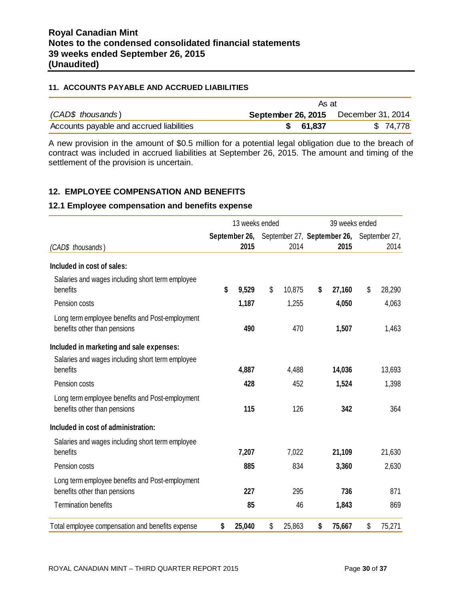#### **11. ACCOUNTS PAYABLE AND ACCRUED LIABILITIES**

|                                          | As at                     |                   |  |  |  |
|------------------------------------------|---------------------------|-------------------|--|--|--|
| (CAD\$ thousands)                        | <b>September 26, 2015</b> | December 31, 2014 |  |  |  |
| Accounts payable and accrued liabilities | \$ 61,837                 | \$74,778          |  |  |  |

A new provision in the amount of \$0.5 million for a potential legal obligation due to the breach of contract was included in accrued liabilities at September 26, 2015. The amount and timing of the settlement of the provision is uncertain.

# **12. EMPLOYEE COMPENSATION AND BENEFITS**

#### **12.1 Employee compensation and benefits expense**

|                                                                                 | 13 weeks ended |               |    | 39 weeks ended |    |                             |    |               |
|---------------------------------------------------------------------------------|----------------|---------------|----|----------------|----|-----------------------------|----|---------------|
|                                                                                 |                | September 26, |    |                |    | September 27, September 26, |    | September 27, |
| (CAD\$ thousands)                                                               |                | 2015          |    | 2014           |    | 2015                        |    | 2014          |
| Included in cost of sales:                                                      |                |               |    |                |    |                             |    |               |
| Salaries and wages including short term employee<br>benefits                    | \$             | 9,529         | \$ | 10,875         | \$ | 27,160                      | \$ | 28,290        |
| Pension costs                                                                   |                | 1,187         |    | 1,255          |    | 4,050                       |    | 4,063         |
| Long term employee benefits and Post-employment<br>benefits other than pensions |                | 490           |    | 470            |    | 1,507                       |    | 1,463         |
| Included in marketing and sale expenses:                                        |                |               |    |                |    |                             |    |               |
| Salaries and wages including short term employee<br>benefits                    |                | 4,887         |    | 4,488          |    | 14,036                      |    | 13,693        |
| Pension costs                                                                   |                | 428           |    | 452            |    | 1,524                       |    | 1,398         |
| Long term employee benefits and Post-employment<br>benefits other than pensions |                | 115           |    | 126            |    | 342                         |    | 364           |
| Included in cost of administration:                                             |                |               |    |                |    |                             |    |               |
| Salaries and wages including short term employee<br>benefits                    |                | 7,207         |    | 7,022          |    | 21,109                      |    | 21,630        |
| Pension costs                                                                   |                | 885           |    | 834            |    | 3,360                       |    | 2,630         |
| Long term employee benefits and Post-employment<br>benefits other than pensions |                | 227           |    | 295            |    | 736                         |    | 871           |
| <b>Termination benefits</b>                                                     |                | 85            |    | 46             |    | 1,843                       |    | 869           |
| Total employee compensation and benefits expense                                | \$             | 25,040        | \$ | 25,863         | \$ | 75,667                      | \$ | 75,271        |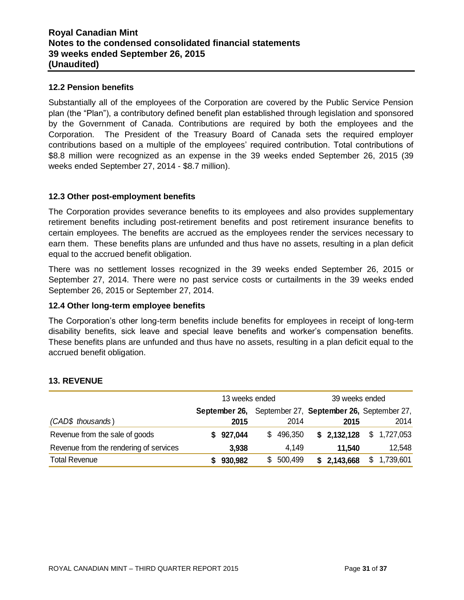## **12.2 Pension benefits**

Substantially all of the employees of the Corporation are covered by the Public Service Pension plan (the "Plan"), a contributory defined benefit plan established through legislation and sponsored by the Government of Canada. Contributions are required by both the employees and the Corporation. The President of the Treasury Board of Canada sets the required employer contributions based on a multiple of the employees' required contribution. Total contributions of \$8.8 million were recognized as an expense in the 39 weeks ended September 26, 2015 (39 weeks ended September 27, 2014 - \$8.7 million).

#### **12.3 Other post-employment benefits**

The Corporation provides severance benefits to its employees and also provides supplementary retirement benefits including post-retirement benefits and post retirement insurance benefits to certain employees. The benefits are accrued as the employees render the services necessary to earn them. These benefits plans are unfunded and thus have no assets, resulting in a plan deficit equal to the accrued benefit obligation.

There was no settlement losses recognized in the 39 weeks ended September 26, 2015 or September 27, 2014. There were no past service costs or curtailments in the 39 weeks ended September 26, 2015 or September 27, 2014.

#### **12.4 Other long-term employee benefits**

The Corporation's other long-term benefits include benefits for employees in receipt of long-term disability benefits, sick leave and special leave benefits and worker's compensation benefits. These benefits plans are unfunded and thus have no assets, resulting in a plan deficit equal to the accrued benefit obligation.

|                                        | 13 weeks ended |               |     |         | 39 weeks ended |             |                |                                           |
|----------------------------------------|----------------|---------------|-----|---------|----------------|-------------|----------------|-------------------------------------------|
|                                        |                | September 26, |     |         |                |             |                | September 27, September 26, September 27, |
| (CAD\$ thousands)                      |                | 2015          |     | 2014    |                | 2015        |                | 2014                                      |
| Revenue from the sale of goods         | S.             | 927,044       | \$. | 496,350 |                | \$2,132,128 |                | \$1,727,053                               |
| Revenue from the rendering of services |                | 3,938         |     | 4,149   |                | 11.540      |                | 12,548                                    |
| <b>Total Revenue</b>                   |                | 930,982       | SS. | 500,499 |                | \$2,143,668 | $\mathbb{S}^-$ | 1,739,601                                 |

# **13. REVENUE**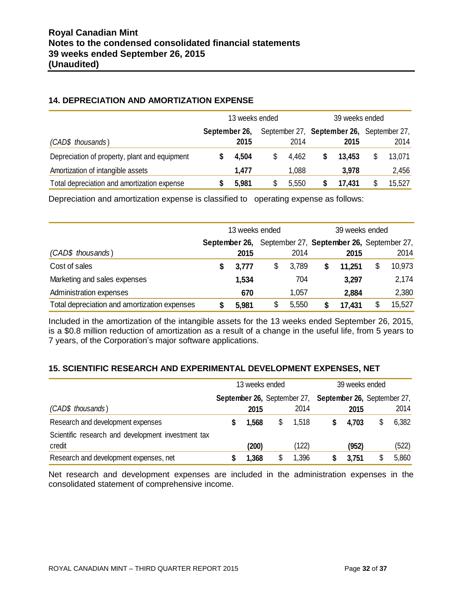# **14. DEPRECIATION AND AMORTIZATION EXPENSE**

|                                               |               | 13 weeks ended | 39 weeks ended |       |  |                                                   |  |        |
|-----------------------------------------------|---------------|----------------|----------------|-------|--|---------------------------------------------------|--|--------|
| (CAD\$ thousands)                             | September 26, | 2015           |                | 2014  |  | September 27, September 26, September 27,<br>2015 |  | 2014   |
| Depreciation of property, plant and equipment |               | 4,504          | S              | 4.462 |  | 13.453                                            |  | 13,071 |
| Amortization of intangible assets             |               | 1,477          |                | 1,088 |  | 3,978                                             |  | 2,456  |
| Total depreciation and amortization expense   |               | 5,981          | \$             | 5,550 |  | 17.431                                            |  | 15,527 |

Depreciation and amortization expense is classified to operating expense as follows:

|                                              |                                                         | 13 weeks ended |    |       | 39 weeks ended |        |  |        |  |
|----------------------------------------------|---------------------------------------------------------|----------------|----|-------|----------------|--------|--|--------|--|
|                                              | September 26, September 27, September 26, September 27, |                |    |       |                |        |  |        |  |
| (CAD\$ thousands)                            |                                                         | 2015           |    | 2014  |                | 2015   |  | 2014   |  |
| Cost of sales                                |                                                         | 3,777          | \$ | 3,789 | \$             | 11,251 |  | 10,973 |  |
| Marketing and sales expenses                 |                                                         | 1,534          |    | 704   |                | 3,297  |  | 2,174  |  |
| Administration expenses                      |                                                         | 670            |    | 1,057 |                | 2,884  |  | 2,380  |  |
| Total depreciation and amortization expenses |                                                         | 5,981          | \$ | 5,550 |                | 17,431 |  | 15,527 |  |

Included in the amortization of the intangible assets for the 13 weeks ended September 26, 2015, is a \$0.8 million reduction of amortization as a result of a change in the useful life, from 5 years to 7 years, of the Corporation's major software applications.

# **15. SCIENTIFIC RESEARCH AND EXPERIMENTAL DEVELOPMENT EXPENSES, NET**

|                                                    | 13 weeks ended |                             | 39 weeks ended                     |       |    |       |  |
|----------------------------------------------------|----------------|-----------------------------|------------------------------------|-------|----|-------|--|
|                                                    |                | September 26, September 27, | <b>September 26, September 27,</b> |       |    |       |  |
| (CAD\$ thousands)                                  | 2015           | 2014                        |                                    | 2015  |    | 2014  |  |
| Research and development expenses                  | 1,568          | \$<br>1,518                 |                                    | 4,703 | \$ | 6,382 |  |
| Scientific research and development investment tax |                |                             |                                    |       |    |       |  |
| credit                                             | (200)          | (122)                       |                                    | (952) |    | (522) |  |
| Research and development expenses, net             | 1,368          | 1,396                       |                                    | 3,751 | \$ | 5,860 |  |

Net research and development expenses are included in the administration expenses in the consolidated statement of comprehensive income.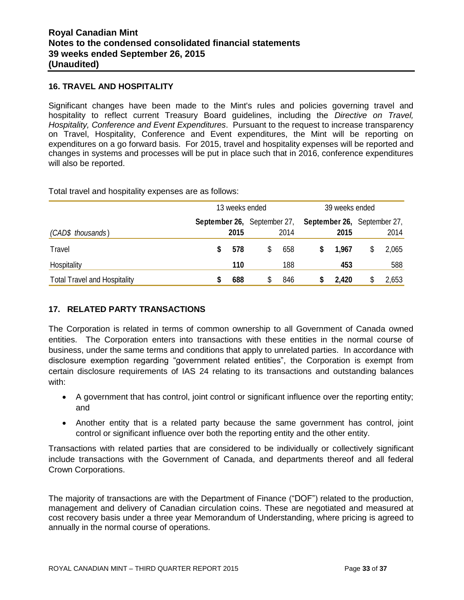#### **16. TRAVEL AND HOSPITALITY**

Significant changes have been made to the Mint's rules and policies governing travel and hospitality to reflect current Treasury Board guidelines, including the *Directive on Travel, Hospitality, Conference and Event Expenditures*. Pursuant to the request to increase transparency on Travel, Hospitality, Conference and Event expenditures, the Mint will be reporting on expenditures on a go forward basis. For 2015, travel and hospitality expenses will be reported and changes in systems and processes will be put in place such that in 2016, conference expenditures will also be reported.

Total travel and hospitality expenses are as follows:

|                                     |      | 13 weeks ended |                                            |     |   |       |                                            | 39 weeks ended |  |  |  |  |  |
|-------------------------------------|------|----------------|--------------------------------------------|-----|---|-------|--------------------------------------------|----------------|--|--|--|--|--|
| (CAD\$ thousands)                   | 2015 |                | <b>September 26, September 27,</b><br>2014 |     |   | 2015  | <b>September 26, September 27,</b><br>2014 |                |  |  |  |  |  |
| Travel                              |      | 578            | \$                                         | 658 | S | 1.967 |                                            | 2,065          |  |  |  |  |  |
| Hospitality                         |      | 110            |                                            | 188 |   | 453   |                                            | 588            |  |  |  |  |  |
| <b>Total Travel and Hospitality</b> |      | 688            | \$                                         | 846 |   | 2,420 |                                            | 2,653          |  |  |  |  |  |

# **17. RELATED PARTY TRANSACTIONS**

The Corporation is related in terms of common ownership to all Government of Canada owned entities. The Corporation enters into transactions with these entities in the normal course of business, under the same terms and conditions that apply to unrelated parties. In accordance with disclosure exemption regarding "government related entities", the Corporation is exempt from certain disclosure requirements of IAS 24 relating to its transactions and outstanding balances with:

- A government that has control, joint control or significant influence over the reporting entity; and
- Another entity that is a related party because the same government has control, joint control or significant influence over both the reporting entity and the other entity.

Transactions with related parties that are considered to be individually or collectively significant include transactions with the Government of Canada, and departments thereof and all federal Crown Corporations.

The majority of transactions are with the Department of Finance ("DOF") related to the production, management and delivery of Canadian circulation coins. These are negotiated and measured at cost recovery basis under a three year Memorandum of Understanding, where pricing is agreed to annually in the normal course of operations.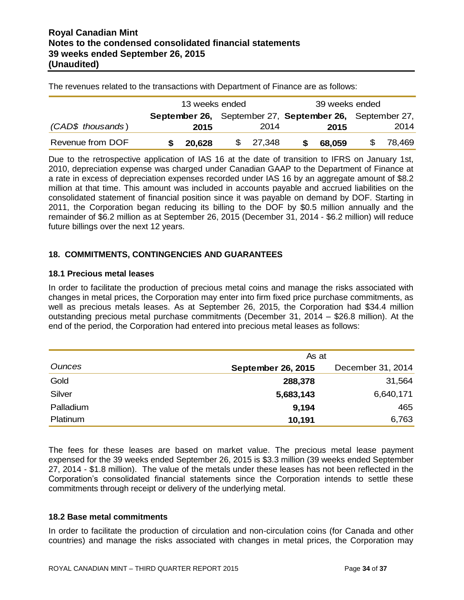The revenues related to the transactions with Department of Finance are as follows:

|                   |                                                         | 13 weeks ended |  |          | 39 weeks ended |        |  |           |
|-------------------|---------------------------------------------------------|----------------|--|----------|----------------|--------|--|-----------|
|                   | September 26, September 27, September 26, September 27, |                |  |          |                |        |  |           |
| (CAD\$ thousands) |                                                         | 2015           |  | 2014     |                | 2015   |  | 2014      |
| Revenue from DOF  |                                                         | 20.628         |  | \$27,348 | SS.            | 68,059 |  | \$ 78,469 |

Due to the retrospective application of IAS 16 at the date of transition to IFRS on January 1st, 2010, depreciation expense was charged under Canadian GAAP to the Department of Finance at a rate in excess of depreciation expenses recorded under IAS 16 by an aggregate amount of \$8.2 million at that time. This amount was included in accounts payable and accrued liabilities on the consolidated statement of financial position since it was payable on demand by DOF. Starting in 2011, the Corporation began reducing its billing to the DOF by \$0.5 million annually and the remainder of \$6.2 million as at September 26, 2015 (December 31, 2014 - \$6.2 million) will reduce future billings over the next 12 years.

#### **18. COMMITMENTS, CONTINGENCIES AND GUARANTEES**

#### **18.1 Precious metal leases**

In order to facilitate the production of precious metal coins and manage the risks associated with changes in metal prices, the Corporation may enter into firm fixed price purchase commitments, as well as precious metals leases. As at September 26, 2015, the Corporation had \$34.4 million outstanding precious metal purchase commitments (December 31, 2014 – \$26.8 million). At the end of the period, the Corporation had entered into precious metal leases as follows:

|           | As at                     |                   |
|-----------|---------------------------|-------------------|
| Ounces    | <b>September 26, 2015</b> | December 31, 2014 |
| Gold      | 288,378                   | 31,564            |
| Silver    | 5,683,143                 | 6,640,171         |
| Palladium | 9,194                     | 465               |
| Platinum  | 10,191                    | 6,763             |

The fees for these leases are based on market value. The precious metal lease payment expensed for the 39 weeks ended September 26, 2015 is \$3.3 million (39 weeks ended September 27, 2014 - \$1.8 million). The value of the metals under these leases has not been reflected in the Corporation's consolidated financial statements since the Corporation intends to settle these commitments through receipt or delivery of the underlying metal.

## **18.2 Base metal commitments**

In order to facilitate the production of circulation and non-circulation coins (for Canada and other countries) and manage the risks associated with changes in metal prices, the Corporation may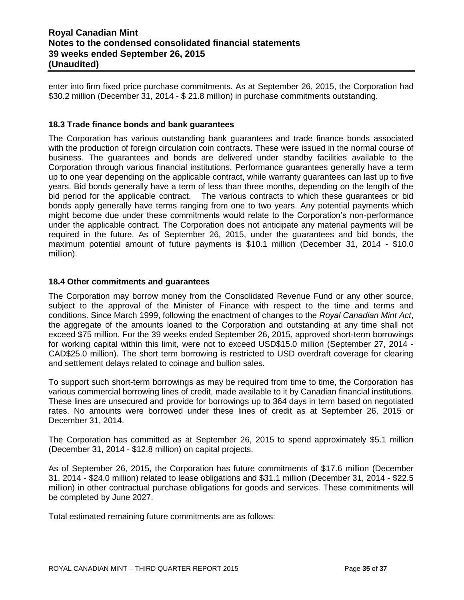enter into firm fixed price purchase commitments. As at September 26, 2015, the Corporation had \$30.2 million (December 31, 2014 - \$ 21.8 million) in purchase commitments outstanding.

#### **18.3 Trade finance bonds and bank guarantees**

The Corporation has various outstanding bank guarantees and trade finance bonds associated with the production of foreign circulation coin contracts. These were issued in the normal course of business. The guarantees and bonds are delivered under standby facilities available to the Corporation through various financial institutions. Performance guarantees generally have a term up to one year depending on the applicable contract, while warranty guarantees can last up to five years. Bid bonds generally have a term of less than three months, depending on the length of the bid period for the applicable contract. The various contracts to which these guarantees or bid bonds apply generally have terms ranging from one to two years. Any potential payments which might become due under these commitments would relate to the Corporation's non-performance under the applicable contract. The Corporation does not anticipate any material payments will be required in the future. As of September 26, 2015, under the guarantees and bid bonds, the maximum potential amount of future payments is \$10.1 million (December 31, 2014 - \$10.0 million).

#### **18.4 Other commitments and guarantees**

The Corporation may borrow money from the Consolidated Revenue Fund or any other source, subject to the approval of the Minister of Finance with respect to the time and terms and conditions. Since March 1999, following the enactment of changes to the *Royal Canadian Mint Act*, the aggregate of the amounts loaned to the Corporation and outstanding at any time shall not exceed \$75 million. For the 39 weeks ended September 26, 2015, approved short-term borrowings for working capital within this limit, were not to exceed USD\$15.0 million (September 27, 2014 - CAD\$25.0 million). The short term borrowing is restricted to USD overdraft coverage for clearing and settlement delays related to coinage and bullion sales.

To support such short-term borrowings as may be required from time to time, the Corporation has various commercial borrowing lines of credit, made available to it by Canadian financial institutions. These lines are unsecured and provide for borrowings up to 364 days in term based on negotiated rates. No amounts were borrowed under these lines of credit as at September 26, 2015 or December 31, 2014.

The Corporation has committed as at September 26, 2015 to spend approximately \$5.1 million (December 31, 2014 - \$12.8 million) on capital projects.

As of September 26, 2015, the Corporation has future commitments of \$17.6 million (December 31, 2014 - \$24.0 million) related to lease obligations and \$31.1 million (December 31, 2014 - \$22.5 million) in other contractual purchase obligations for goods and services. These commitments will be completed by June 2027.

Total estimated remaining future commitments are as follows: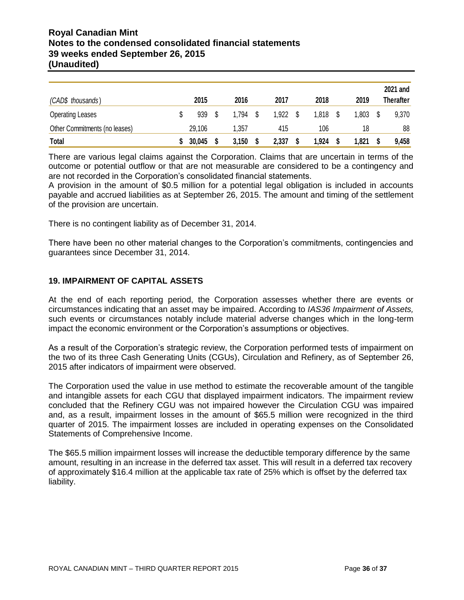# **Royal Canadian Mint Notes to the condensed consolidated financial statements 39 weeks ended September 26, 2015 (Unaudited)**

|                               | 2015   | 2016  | 2017  | 2018  | 2019  | 2021 and<br><b>Therafter</b> |
|-------------------------------|--------|-------|-------|-------|-------|------------------------------|
| (CAD\$ thousands)             |        |       |       |       |       |                              |
| <b>Operating Leases</b>       | 939    | 1.794 | 1,922 | 1,818 | 1,803 | 9,370                        |
| Other Commitments (no leases) | 29,106 | .357  | 415   | 106   | 18    | 88                           |
| <b>Total</b>                  | 30,045 | 3,150 | 2,337 | 1,924 | 1,821 | 9,458                        |

There are various legal claims against the Corporation. Claims that are uncertain in terms of the outcome or potential outflow or that are not measurable are considered to be a contingency and are not recorded in the Corporation's consolidated financial statements.

A provision in the amount of \$0.5 million for a potential legal obligation is included in accounts payable and accrued liabilities as at September 26, 2015. The amount and timing of the settlement of the provision are uncertain.

There is no contingent liability as of December 31, 2014.

There have been no other material changes to the Corporation's commitments, contingencies and guarantees since December 31, 2014.

#### **19. IMPAIRMENT OF CAPITAL ASSETS**

At the end of each reporting period, the Corporation assesses whether there are events or circumstances indicating that an asset may be impaired. According to *IAS36 Impairment of Assets,* such events or circumstances notably include material adverse changes which in the long-term impact the economic environment or the Corporation's assumptions or objectives.

As a result of the Corporation's strategic review, the Corporation performed tests of impairment on the two of its three Cash Generating Units (CGUs), Circulation and Refinery, as of September 26, 2015 after indicators of impairment were observed.

The Corporation used the value in use method to estimate the recoverable amount of the tangible and intangible assets for each CGU that displayed impairment indicators. The impairment review concluded that the Refinery CGU was not impaired however the Circulation CGU was impaired and, as a result, impairment losses in the amount of \$65.5 million were recognized in the third quarter of 2015. The impairment losses are included in operating expenses on the Consolidated Statements of Comprehensive Income.

The \$65.5 million impairment losses will increase the deductible temporary difference by the same amount, resulting in an increase in the deferred tax asset. This will result in a deferred tax recovery of approximately \$16.4 million at the applicable tax rate of 25% which is offset by the deferred tax liability.